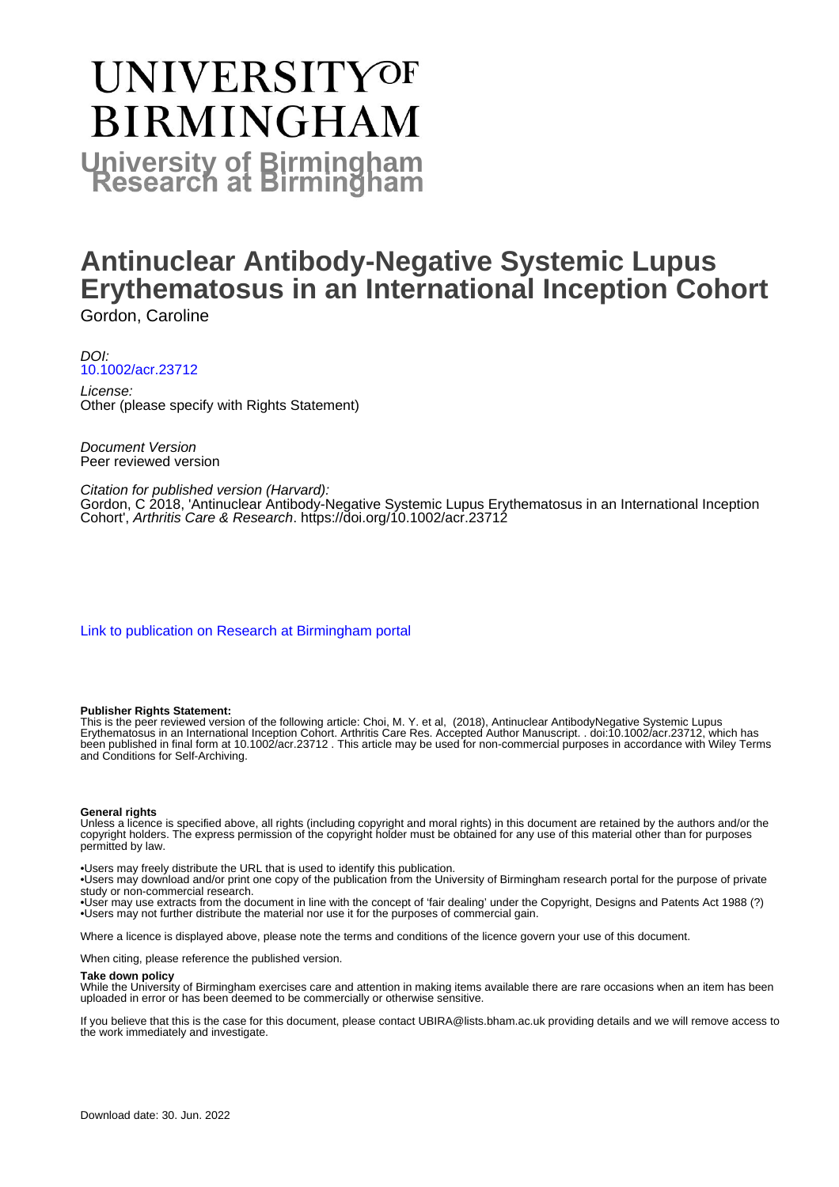# UNIVERSITYOF **BIRMINGHAM University of Birmingham**

# **Antinuclear Antibody-Negative Systemic Lupus Erythematosus in an International Inception Cohort** Gordon, Caroline

DOI: [10.1002/acr.23712](https://doi.org/10.1002/acr.23712)

License: Other (please specify with Rights Statement)

Document Version Peer reviewed version

Citation for published version (Harvard):

Gordon, C 2018, 'Antinuclear Antibody-Negative Systemic Lupus Erythematosus in an International Inception Cohort', Arthritis Care & Research.<https://doi.org/10.1002/acr.23712>

[Link to publication on Research at Birmingham portal](https://birmingham.elsevierpure.com/en/publications/a73b2700-e91e-40a3-882d-1a210d6a408d)

#### **Publisher Rights Statement:**

This is the peer reviewed version of the following article: Choi, M. Y. et al, (2018), Antinuclear AntibodyNegative Systemic Lupus Erythematosus in an International Inception Cohort. Arthritis Care Res. Accepted Author Manuscript. . doi:10.1002/acr.23712, which has been published in final form at 10.1002/acr.23712 . This article may be used for non-commercial purposes in accordance with Wiley Terms and Conditions for Self-Archiving.

#### **General rights**

Unless a licence is specified above, all rights (including copyright and moral rights) in this document are retained by the authors and/or the copyright holders. The express permission of the copyright holder must be obtained for any use of this material other than for purposes permitted by law.

• Users may freely distribute the URL that is used to identify this publication.

• Users may download and/or print one copy of the publication from the University of Birmingham research portal for the purpose of private study or non-commercial research.

• User may use extracts from the document in line with the concept of 'fair dealing' under the Copyright, Designs and Patents Act 1988 (?) • Users may not further distribute the material nor use it for the purposes of commercial gain.

Where a licence is displayed above, please note the terms and conditions of the licence govern your use of this document.

When citing, please reference the published version.

#### **Take down policy**

While the University of Birmingham exercises care and attention in making items available there are rare occasions when an item has been uploaded in error or has been deemed to be commercially or otherwise sensitive.

If you believe that this is the case for this document, please contact UBIRA@lists.bham.ac.uk providing details and we will remove access to the work immediately and investigate.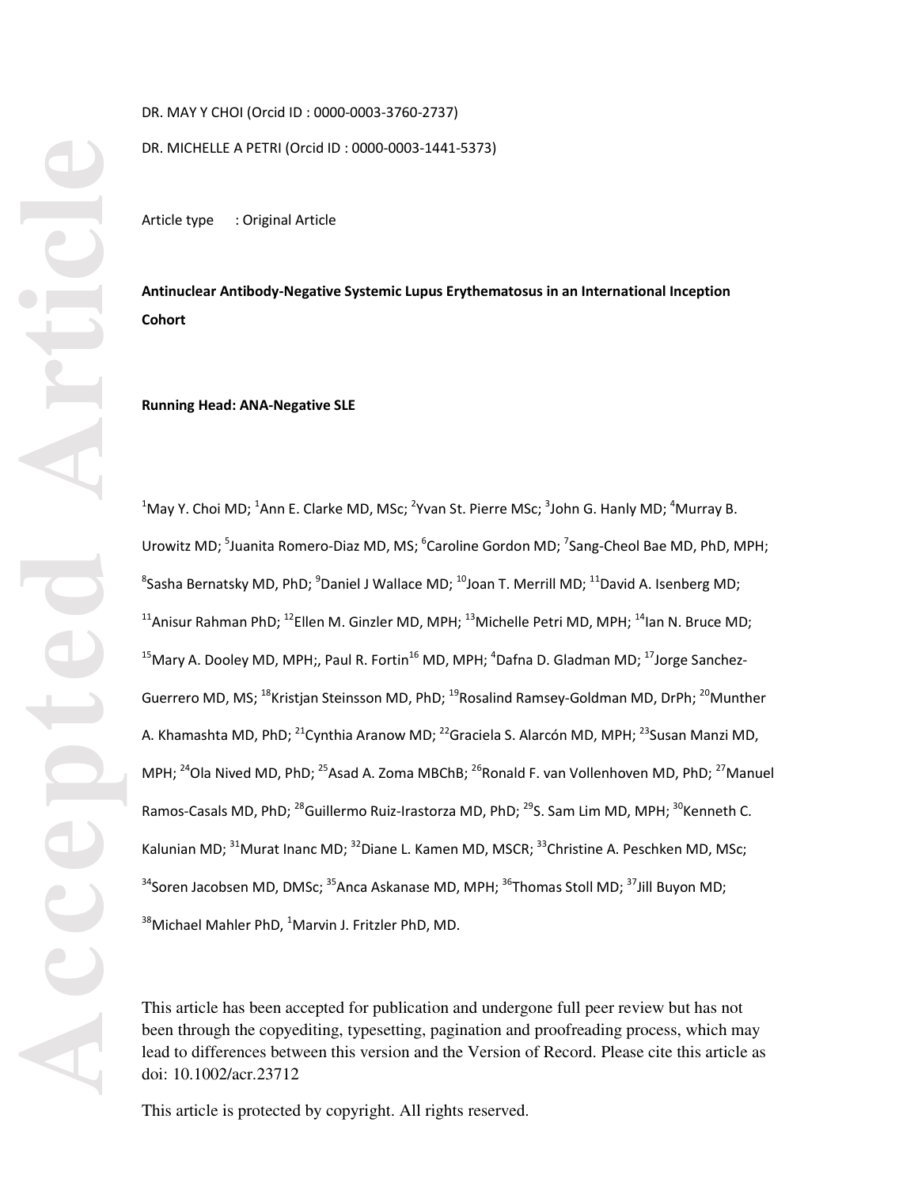DR. MAY Y CHOI (Orcid ID : 0000-0003-3760-2737)

DR. MICHELLE A PETRI (Orcid ID : 0000-0003-1441-5373)

Article type : Original Article

**Antinuclear Antibody-Negative Systemic Lupus Erythematosus in an International Inception Cohort** 

**Running Head: ANA-Negative SLE** 

 $^1$ May Y. Choi MD;  $^1$ Ann E. Clarke MD, MSc;  $^2$ Yvan St. Pierre MSc;  $^3$ John G. Hanly MD;  $^4$ Murray B. Urowitz MD; <sup>5</sup>Juanita Romero-Diaz MD, MS; <sup>6</sup>Caroline Gordon MD; <sup>7</sup>Sang-Cheol Bae MD, PhD, MPH;  ${}^{8}$ Sasha Bernatsky MD, PhD;  ${}^{9}$ Daniel J Wallace MD;  ${}^{10}$ Joan T. Merrill MD;  ${}^{11}$ David A. Isenberg MD; <sup>11</sup>Anisur Rahman PhD; <sup>12</sup>Ellen M. Ginzler MD, MPH; <sup>13</sup>Michelle Petri MD, MPH; <sup>14</sup>Ian N. Bruce MD; <sup>15</sup>Mary A. Dooley MD, MPH;, Paul R. Fortin<sup>16</sup> MD, MPH; <sup>4</sup>Dafna D. Gladman MD; <sup>17</sup>Jorge Sanchez-Guerrero MD, MS; <sup>18</sup>Kristjan Steinsson MD, PhD; <sup>19</sup>Rosalind Ramsey-Goldman MD, DrPh; <sup>20</sup>Munther A. Khamashta MD, PhD; <sup>21</sup>Cynthia Aranow MD; <sup>22</sup>Graciela S. Alarcón MD, MPH; <sup>23</sup>Susan Manzi MD. MPH; <sup>24</sup>Ola Nived MD, PhD; <sup>25</sup>Asad A. Zoma MBChB; <sup>26</sup>Ronald F. van Vollenhoven MD, PhD; <sup>27</sup>Manuel Ramos-Casals MD, PhD; <sup>28</sup>Guillermo Ruiz-Irastorza MD, PhD; <sup>29</sup>S. Sam Lim MD, MPH; <sup>30</sup>Kenneth C. Kalunian MD; <sup>31</sup>Murat Inanc MD; <sup>32</sup>Diane L. Kamen MD, MSCR; <sup>33</sup>Christine A. Peschken MD, MSc;  $34$ Soren Jacobsen MD, DMSc;  $35$ Anca Askanase MD, MPH;  $36$ Thomas Stoll MD;  $37$ Jill Buyon MD;  $^{38}$ Michael Mahler PhD,  $^{1}$ Marvin J. Fritzler PhD, MD.

This article has been accepted for publication and undergone full peer review but has not been through the copyediting, typesetting, pagination and proofreading process, which may lead to differences between this version and the Version of Record. Please cite this article as doi: 10.1002/acr.23712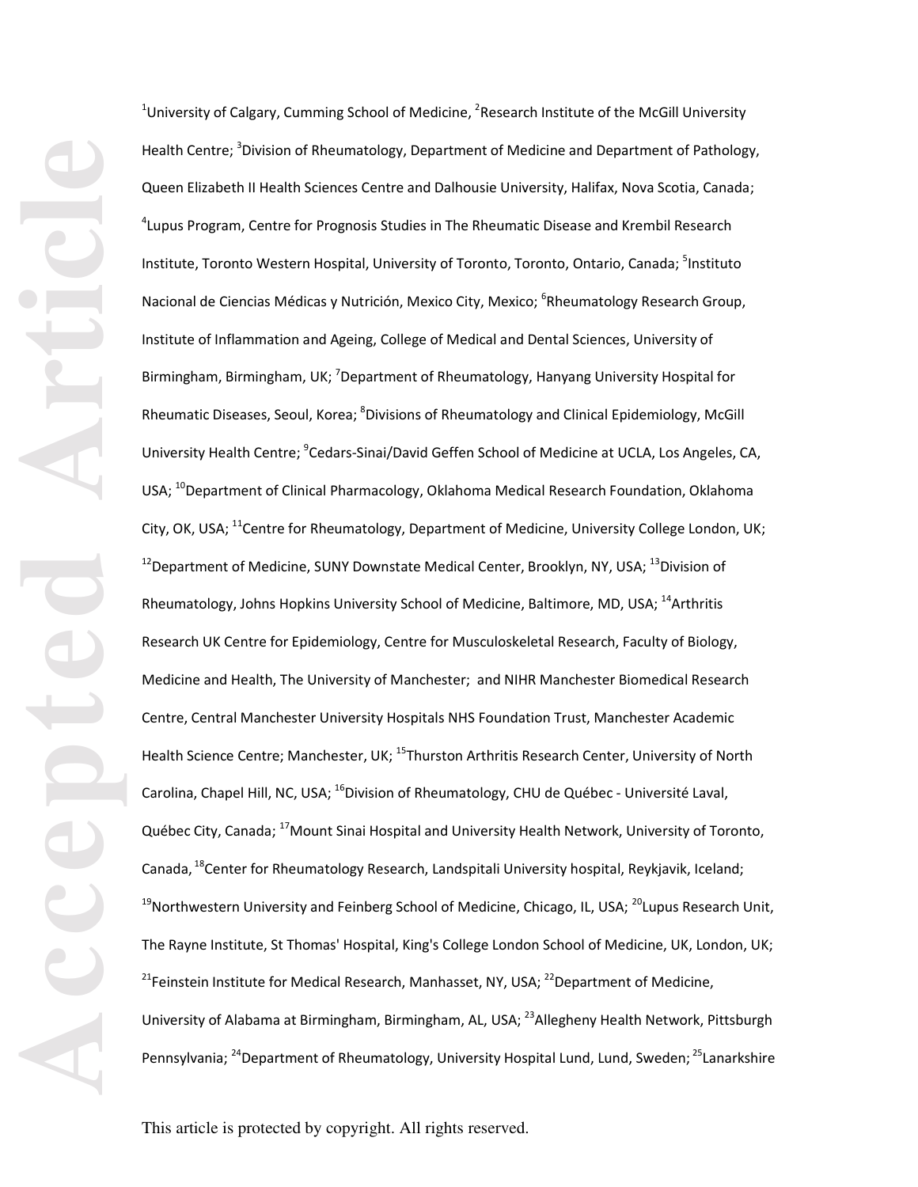<sup>1</sup>University of Calgary, Cumming School of Medicine, <sup>2</sup>Research Institute of the McGill University Health Centre; <sup>3</sup>Division of Rheumatology, Department of Medicine and Department of Pathology, Queen Elizabeth II Health Sciences Centre and Dalhousie University, Halifax, Nova Scotia, Canada; 4 Lupus Program, Centre for Prognosis Studies in The Rheumatic Disease and Krembil Research Institute, Toronto Western Hospital, University of Toronto, Toronto, Ontario, Canada; <sup>5</sup>Instituto Nacional de Ciencias Médicas y Nutrición, Mexico City, Mexico; <sup>6</sup>Rheumatology Research Group, Institute of Inflammation and Ageing, College of Medical and Dental Sciences, University of Birmingham, Birmingham, UK; <sup>7</sup>Department of Rheumatology, Hanyang University Hospital for Rheumatic Diseases, Seoul, Korea; <sup>8</sup>Divisions of Rheumatology and Clinical Epidemiology, McGill University Health Centre; <sup>9</sup>Cedars-Sinai/David Geffen School of Medicine at UCLA, Los Angeles, CA, USA; <sup>10</sup>Department of Clinical Pharmacology, Oklahoma Medical Research Foundation, Oklahoma City, OK, USA; <sup>11</sup>Centre for Rheumatology, Department of Medicine, University College London, UK;  $12$ Department of Medicine, SUNY Downstate Medical Center, Brooklyn, NY, USA;  $13$ Division of Rheumatology, Johns Hopkins University School of Medicine, Baltimore, MD, USA; <sup>14</sup>Arthritis Research UK Centre for Epidemiology, Centre for Musculoskeletal Research, Faculty of Biology, Medicine and Health, The University of Manchester; and NIHR Manchester Biomedical Research Centre, Central Manchester University Hospitals NHS Foundation Trust, Manchester Academic Health Science Centre; Manchester, UK; <sup>15</sup>Thurston Arthritis Research Center, University of North Carolina, Chapel Hill, NC, USA; <sup>16</sup>Division of Rheumatology, CHU de Québec - Université Laval, Québec City, Canada; 17Mount Sinai Hospital and University Health Network, University of Toronto, Canada, <sup>18</sup>Center for Rheumatology Research, Landspitali University hospital, Reykjavik, Iceland; <sup>19</sup>Northwestern University and Feinberg School of Medicine, Chicago, IL, USA; <sup>20</sup>Lupus Research Unit, The Rayne Institute, St Thomas' Hospital, King's College London School of Medicine, UK, London, UK; <sup>21</sup>Feinstein Institute for Medical Research, Manhasset, NY, USA;  $^{22}$ Department of Medicine, University of Alabama at Birmingham, Birmingham, AL, USA; <sup>23</sup>Allegheny Health Network, Pittsburgh Pennsylvania; <sup>24</sup>Department of Rheumatology, University Hospital Lund, Lund, Sweden; <sup>25</sup>Lanarkshire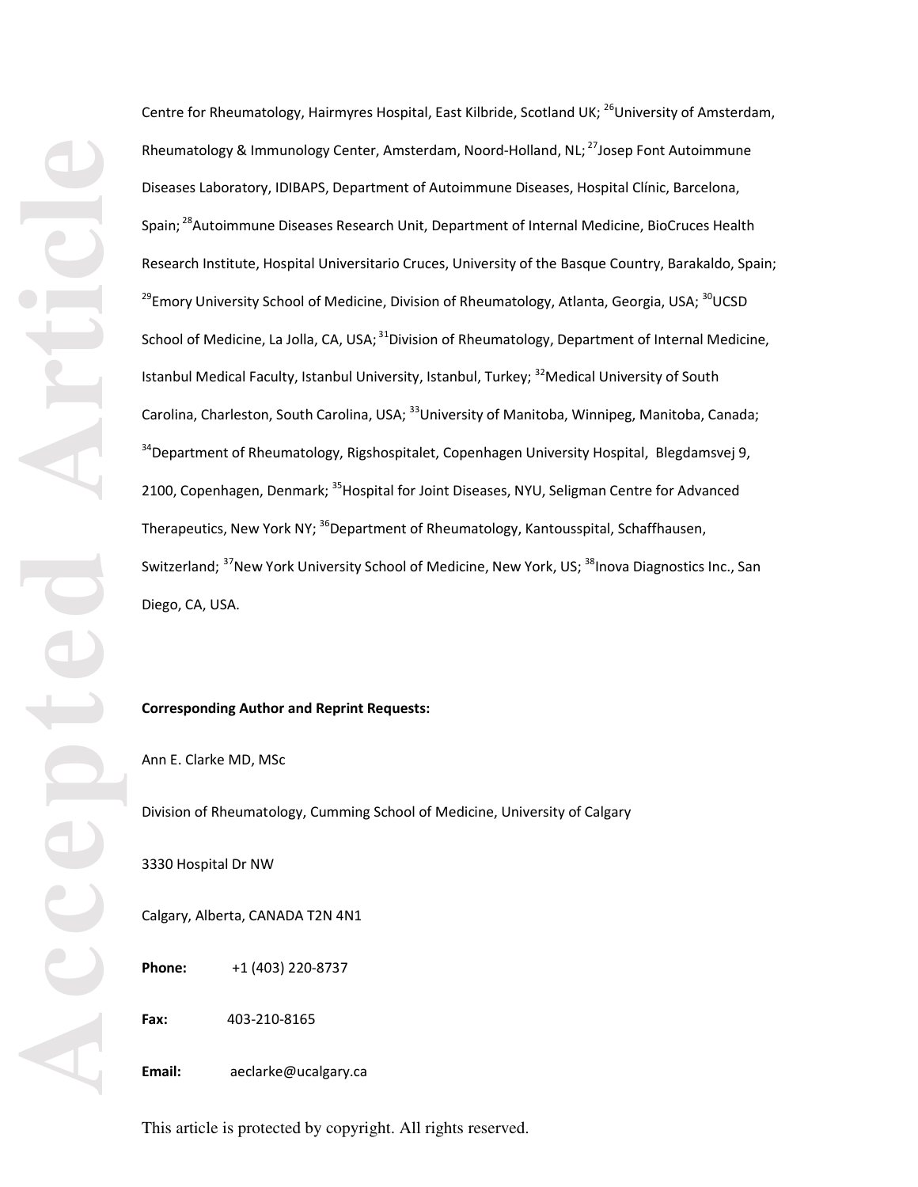Centre for Rheumatology, Hairmyres Hospital, East Kilbride, Scotland UK; <sup>26</sup>University of Amsterdam, Rheumatology & Immunology Center, Amsterdam, Noord-Holland, NL;<sup>27</sup>Josep Font Autoimmune Diseases Laboratory, IDIBAPS, Department of Autoimmune Diseases, Hospital Clínic, Barcelona, Spain; <sup>28</sup>Autoimmune Diseases Research Unit, Department of Internal Medicine, BioCruces Health Research Institute, Hospital Universitario Cruces, University of the Basque Country, Barakaldo, Spain; <sup>29</sup>Emory University School of Medicine, Division of Rheumatology, Atlanta, Georgia, USA; <sup>30</sup>UCSD School of Medicine, La Jolla, CA, USA;<sup>31</sup>Division of Rheumatology, Department of Internal Medicine, Istanbul Medical Faculty, Istanbul University, Istanbul, Turkey; <sup>32</sup>Medical University of South Carolina, Charleston, South Carolina, USA; <sup>33</sup>University of Manitoba, Winnipeg, Manitoba, Canada; <sup>34</sup>Department of Rheumatology, Rigshospitalet, Copenhagen University Hospital, Blegdamsvej 9, 2100, Copenhagen, Denmark; <sup>35</sup>Hospital for Joint Diseases, NYU, Seligman Centre for Advanced Therapeutics, New York NY; <sup>36</sup>Department of Rheumatology, Kantousspital, Schaffhausen, Switzerland; <sup>37</sup>New York University School of Medicine, New York, US; <sup>38</sup>Inova Diagnostics Inc., San Diego, CA, USA.

#### **Corresponding Author and Reprint Requests:**

Ann E. Clarke MD, MSc

Division of Rheumatology, Cumming School of Medicine, University of Calgary

3330 Hospital Dr NW

Calgary, Alberta, CANADA T2N 4N1

**Phone:** +1 (403) 220-8737

**Fax:** 403-210-8165

**Email:** aeclarke@ucalgary.ca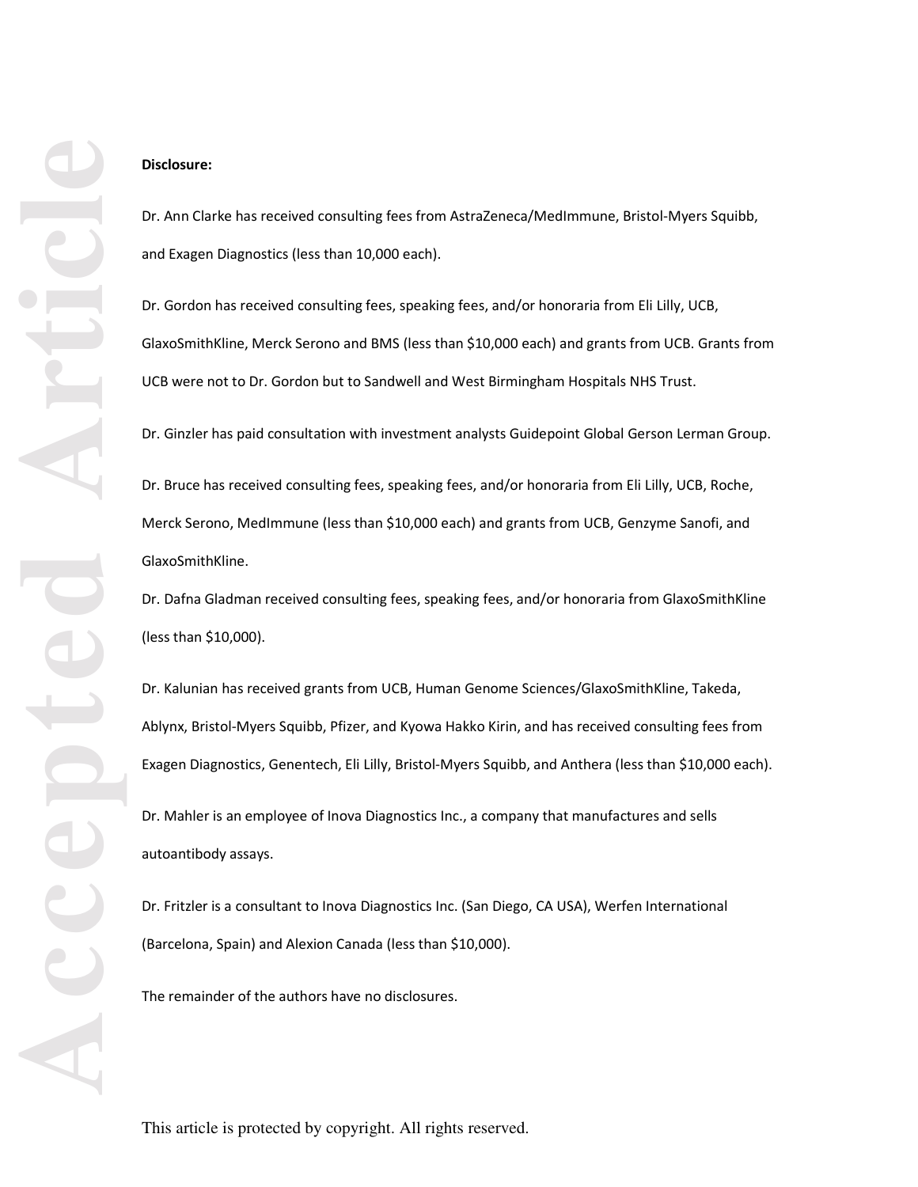# **Disclosure:**

Dr. Ann Clarke has received consulting fees from AstraZeneca/MedImmune, Bristol-Myers Squibb, and Exagen Diagnostics (less than 10,000 each).

Dr. Gordon has received consulting fees, speaking fees, and/or honoraria from Eli Lilly, UCB, GlaxoSmithKline, Merck Serono and BMS (less than \$10,000 each) and grants from UCB. Grants from UCB were not to Dr. Gordon but to Sandwell and West Birmingham Hospitals NHS Trust.

Dr. Ginzler has paid consultation with investment analysts Guidepoint Global Gerson Lerman Group.

Dr. Bruce has received consulting fees, speaking fees, and/or honoraria from Eli Lilly, UCB, Roche, Merck Serono, MedImmune (less than \$10,000 each) and grants from UCB, Genzyme Sanofi, and GlaxoSmithKline.

Dr. Dafna Gladman received consulting fees, speaking fees, and/or honoraria from GlaxoSmithKline (less than \$10,000).

Dr. Kalunian has received grants from UCB, Human Genome Sciences/GlaxoSmithKline, Takeda, Ablynx, Bristol-Myers Squibb, Pfizer, and Kyowa Hakko Kirin, and has received consulting fees from Exagen Diagnostics, Genentech, Eli Lilly, Bristol-Myers Squibb, and Anthera (less than \$10,000 each).

Dr. Mahler is an employee of Inova Diagnostics Inc., a company that manufactures and sells autoantibody assays.

Dr. Fritzler is a consultant to Inova Diagnostics Inc. (San Diego, CA USA), Werfen International (Barcelona, Spain) and Alexion Canada (less than \$10,000).

The remainder of the authors have no disclosures.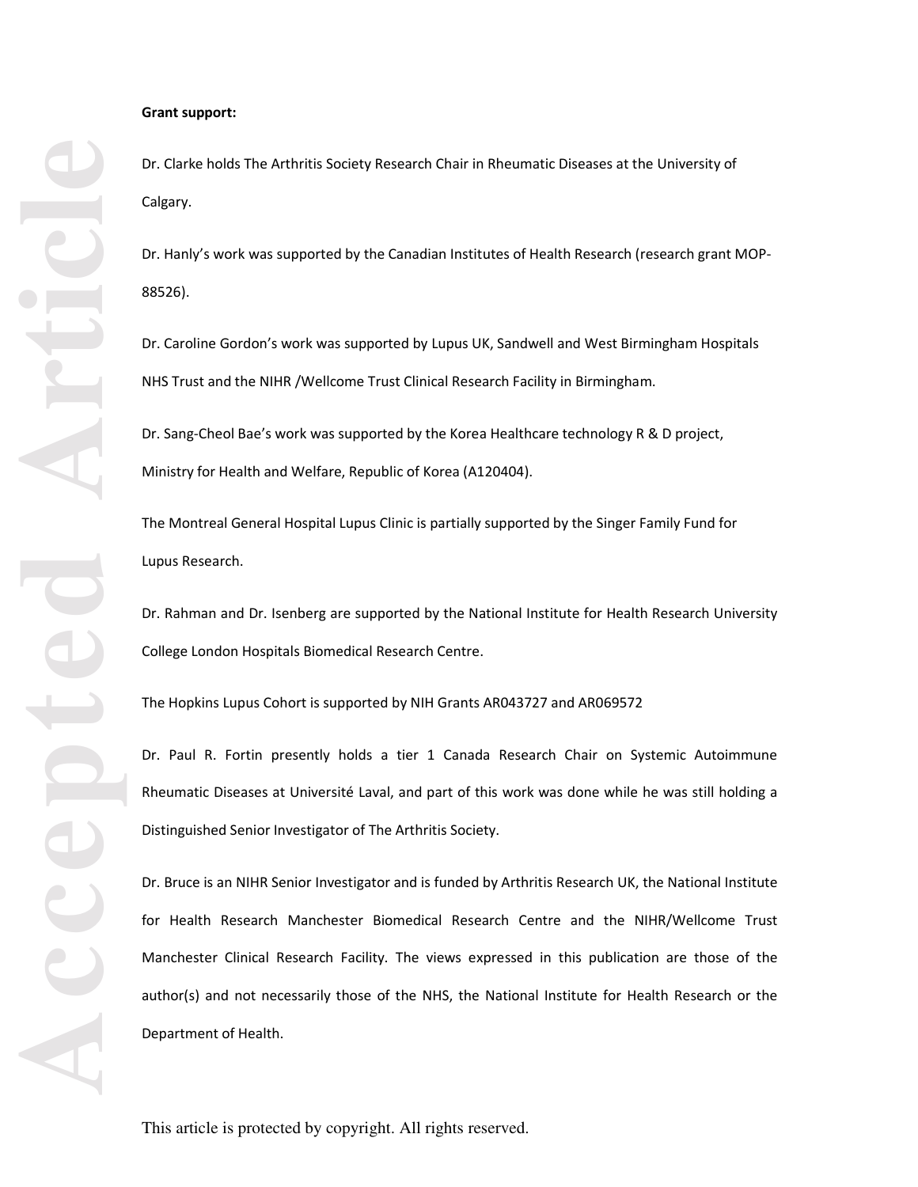#### **Grant support:**

Dr. Clarke holds The Arthritis Society Research Chair in Rheumatic Diseases at the University of Calgary.

Dr. Hanly's work was supported by the Canadian Institutes of Health Research (research grant MOP-88526).

Dr. Caroline Gordon's work was supported by Lupus UK, Sandwell and West Birmingham Hospitals NHS Trust and the NIHR /Wellcome Trust Clinical Research Facility in Birmingham.

Dr. Sang-Cheol Bae's work was supported by the Korea Healthcare technology R & D project, Ministry for Health and Welfare, Republic of Korea (A120404).

The Montreal General Hospital Lupus Clinic is partially supported by the Singer Family Fund for Lupus Research.

Dr. Rahman and Dr. Isenberg are supported by the National Institute for Health Research University College London Hospitals Biomedical Research Centre.

The Hopkins Lupus Cohort is supported by NIH Grants AR043727 and AR069572

Dr. Paul R. Fortin presently holds a tier 1 Canada Research Chair on Systemic Autoimmune Rheumatic Diseases at Université Laval, and part of this work was done while he was still holding a Distinguished Senior Investigator of The Arthritis Society.

Dr. Bruce is an NIHR Senior Investigator and is funded by Arthritis Research UK, the National Institute for Health Research Manchester Biomedical Research Centre and the NIHR/Wellcome Trust Manchester Clinical Research Facility. The views expressed in this publication are those of the author(s) and not necessarily those of the NHS, the National Institute for Health Research or the Department of Health.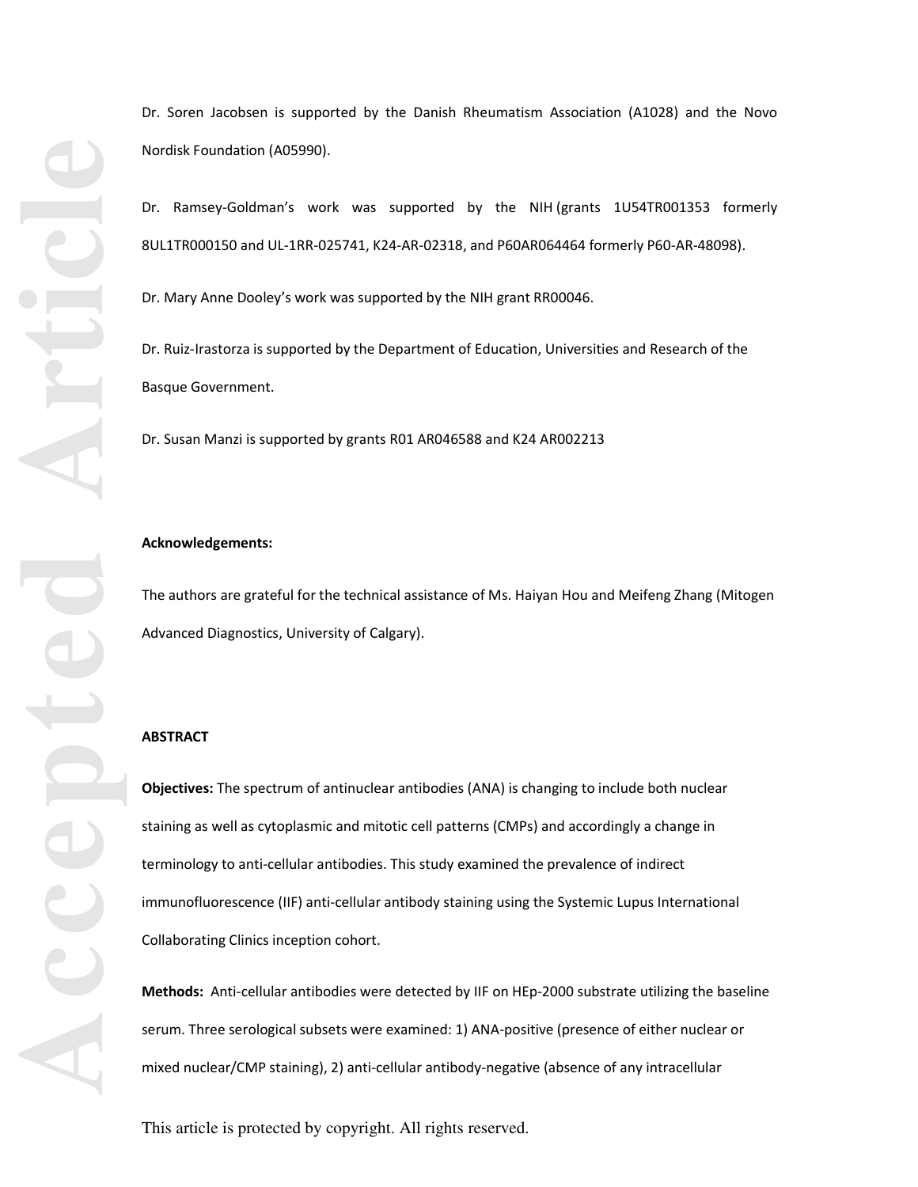Dr. Soren Jacobsen is supported by the Danish Rheumatism Association (A1028) and the Novo Nordisk Foundation (A05990).

Dr. Ramsey-Goldman's work was supported by the NIH (grants 1U54TR001353 formerly 8UL1TR000150 and UL-1RR-025741, K24-AR-02318, and P60AR064464 formerly P60-AR-48098).

Dr. Mary Anne Dooley's work was supported by the NIH grant RR00046.

Dr. Ruiz-Irastorza is supported by the Department of Education, Universities and Research of the Basque Government.

Dr. Susan Manzi is supported by grants R01 AR046588 and K24 AR002213

## **Acknowledgements:**

The authors are grateful for the technical assistance of Ms. Haiyan Hou and Meifeng Zhang (Mitogen Advanced Diagnostics, University of Calgary).

## **ABSTRACT**

**Objectives:** The spectrum of antinuclear antibodies (ANA) is changing to include both nuclear staining as well as cytoplasmic and mitotic cell patterns (CMPs) and accordingly a change in terminology to anti-cellular antibodies. This study examined the prevalence of indirect immunofluorescence (IIF) anti-cellular antibody staining using the Systemic Lupus International Collaborating Clinics inception cohort.

**Methods:** Anti-cellular antibodies were detected by IIF on HEp-2000 substrate utilizing the baseline serum. Three serological subsets were examined: 1) ANA-positive (presence of either nuclear or mixed nuclear/CMP staining), 2) anti-cellular antibody-negative (absence of any intracellular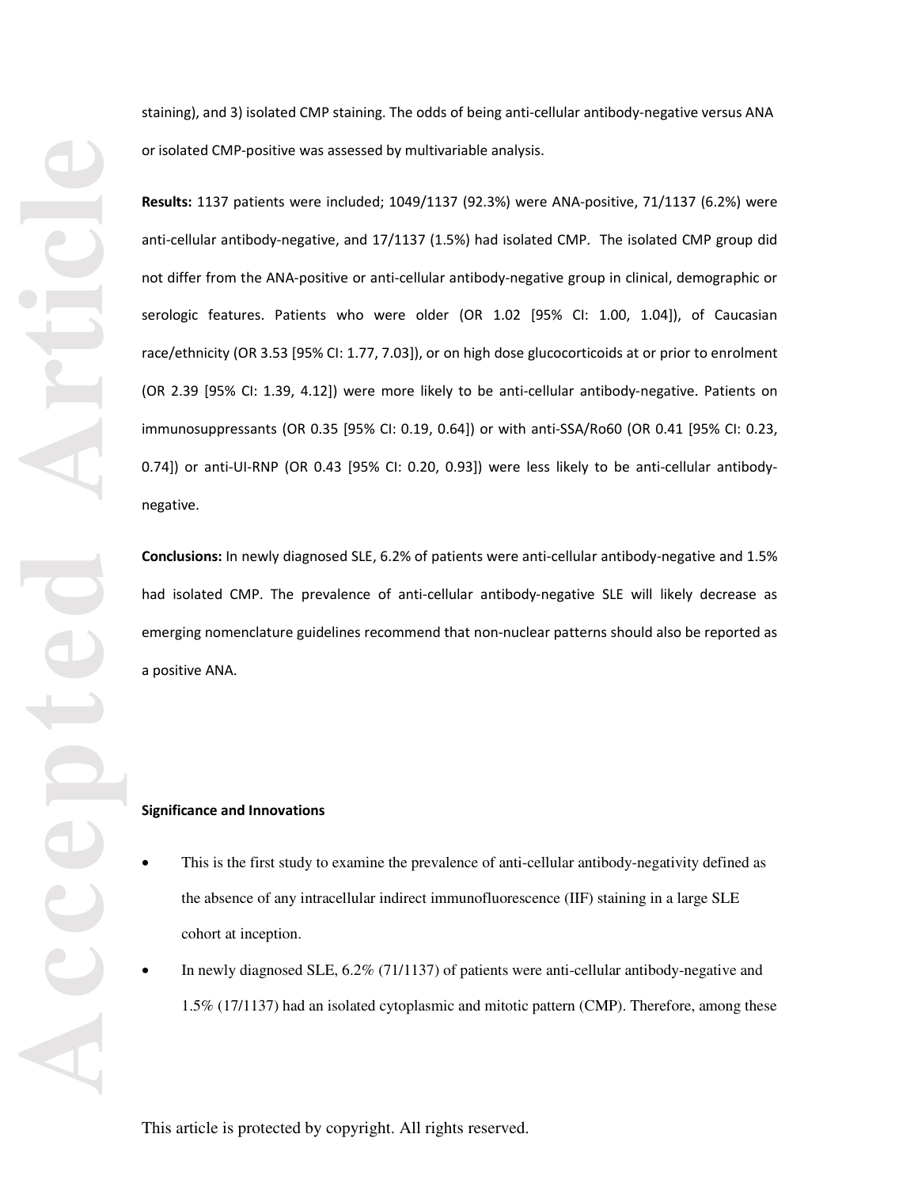staining), and 3) isolated CMP staining. The odds of being anti-cellular antibody-negative versus ANA or isolated CMP-positive was assessed by multivariable analysis.

**Results:** 1137 patients were included; 1049/1137 (92.3%) were ANA-positive, 71/1137 (6.2%) were anti-cellular antibody-negative, and 17/1137 (1.5%) had isolated CMP. The isolated CMP group did not differ from the ANA-positive or anti-cellular antibody-negative group in clinical, demographic or serologic features. Patients who were older (OR 1.02 [95% CI: 1.00, 1.04]), of Caucasian race/ethnicity (OR 3.53 [95% CI: 1.77, 7.03]), or on high dose glucocorticoids at or prior to enrolment (OR 2.39 [95% CI: 1.39, 4.12]) were more likely to be anti-cellular antibody-negative. Patients on immunosuppressants (OR 0.35 [95% CI: 0.19, 0.64]) or with anti-SSA/Ro60 (OR 0.41 [95% CI: 0.23, 0.74]) or anti-UI-RNP (OR 0.43 [95% CI: 0.20, 0.93]) were less likely to be anti-cellular antibodynegative.

**Conclusions:** In newly diagnosed SLE, 6.2% of patients were anti-cellular antibody-negative and 1.5% had isolated CMP. The prevalence of anti-cellular antibody-negative SLE will likely decrease as emerging nomenclature guidelines recommend that non-nuclear patterns should also be reported as a positive ANA.

# **Significance and Innovations**

- This is the first study to examine the prevalence of anti-cellular antibody-negativity defined as the absence of any intracellular indirect immunofluorescence (IIF) staining in a large SLE cohort at inception.
- In newly diagnosed SLE, 6.2% (71/1137) of patients were anti-cellular antibody-negative and 1.5% (17/1137) had an isolated cytoplasmic and mitotic pattern (CMP). Therefore, among these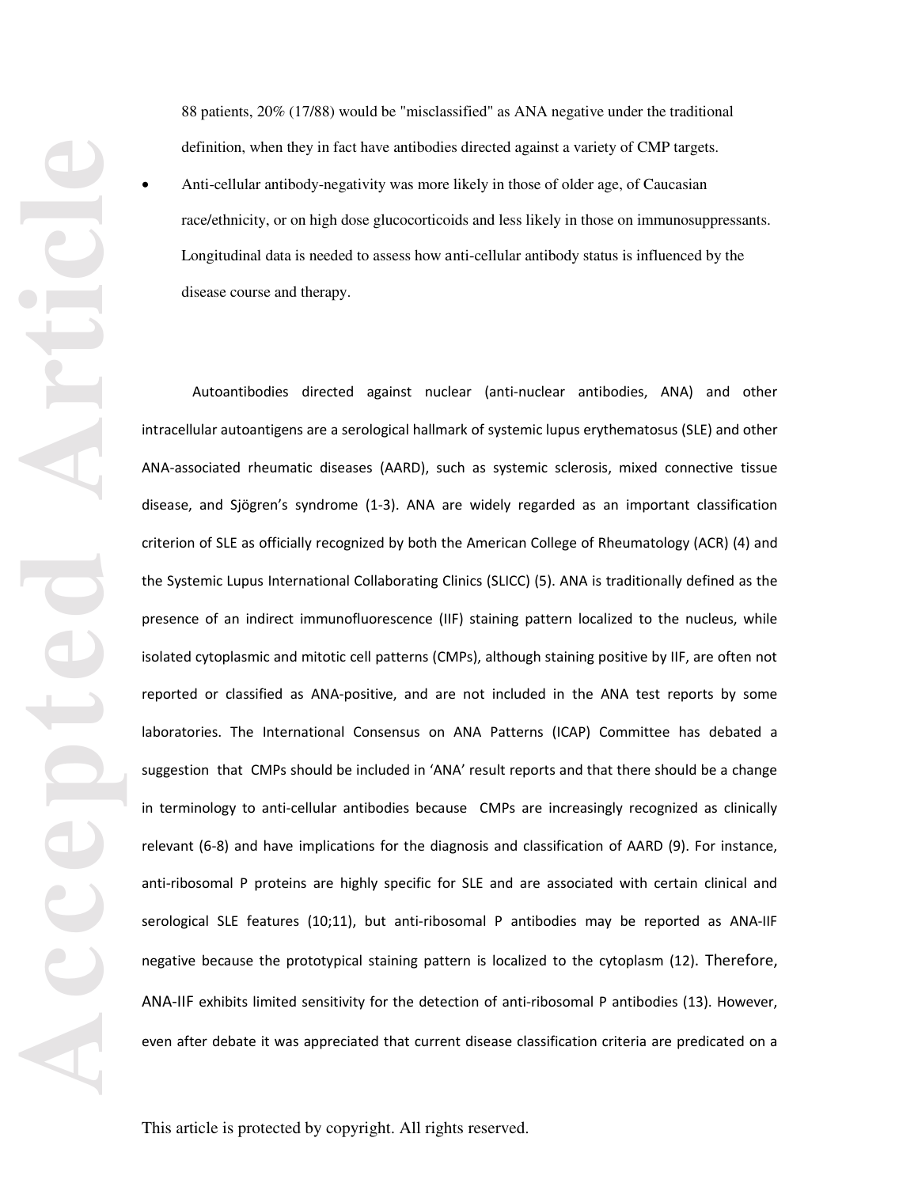88 patients, 20% (17/88) would be "misclassified" as ANA negative under the traditional definition, when they in fact have antibodies directed against a variety of CMP targets. • Anti-cellular antibody-negativity was more likely in those of older age, of Caucasian race/ethnicity, or on high dose glucocorticoids and less likely in those on immunosuppressants. Longitudinal data is needed to assess how anti-cellular antibody status is influenced by the disease course and therapy.

Autoantibodies directed against nuclear (anti-nuclear antibodies, ANA) and other intracellular autoantigens are a serological hallmark of systemic lupus erythematosus (SLE) and other ANA-associated rheumatic diseases (AARD), such as systemic sclerosis, mixed connective tissue disease, and Sjögren's syndrome (1-3). ANA are widely regarded as an important classification criterion of SLE as officially recognized by both the American College of Rheumatology (ACR) (4) and the Systemic Lupus International Collaborating Clinics (SLICC) (5). ANA is traditionally defined as the presence of an indirect immunofluorescence (IIF) staining pattern localized to the nucleus, while isolated cytoplasmic and mitotic cell patterns (CMPs), although staining positive by IIF, are often not reported or classified as ANA-positive, and are not included in the ANA test reports by some laboratories. The International Consensus on ANA Patterns (ICAP) Committee has debated a suggestion that CMPs should be included in 'ANA' result reports and that there should be a change in terminology to anti-cellular antibodies because CMPs are increasingly recognized as clinically relevant (6-8) and have implications for the diagnosis and classification of AARD (9). For instance, anti-ribosomal P proteins are highly specific for SLE and are associated with certain clinical and serological SLE features (10;11), but anti-ribosomal P antibodies may be reported as ANA-IIF negative because the prototypical staining pattern is localized to the cytoplasm (12). Therefore, ANA-IIF exhibits limited sensitivity for the detection of anti-ribosomal P antibodies (13). However, even after debate it was appreciated that current disease classification criteria are predicated on a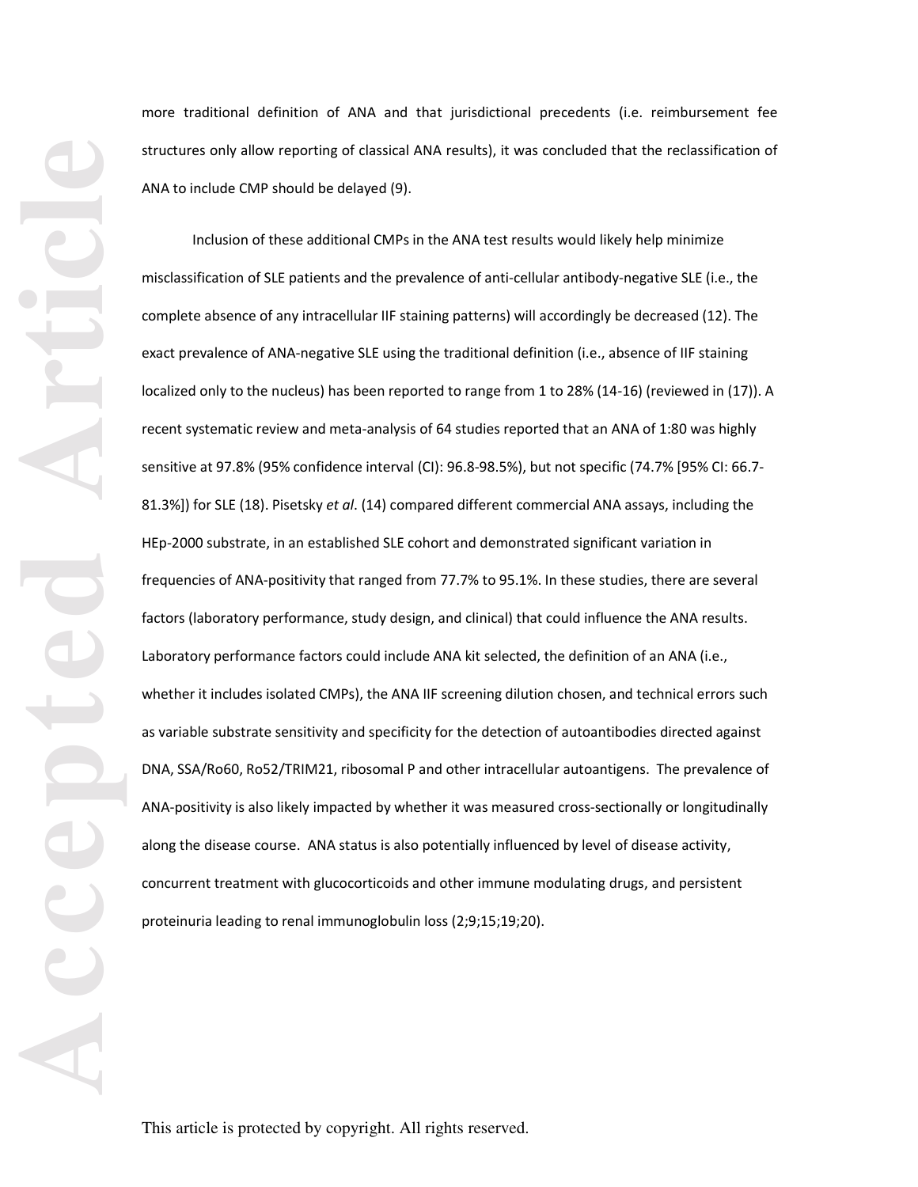more traditional definition of ANA and that jurisdictional precedents (i.e. reimbursement fee structures only allow reporting of classical ANA results), it was concluded that the reclassification of ANA to include CMP should be delayed (9).

Inclusion of these additional CMPs in the ANA test results would likely help minimize misclassification of SLE patients and the prevalence of anti-cellular antibody-negative SLE (i.e., the complete absence of any intracellular IIF staining patterns) will accordingly be decreased (12). The exact prevalence of ANA-negative SLE using the traditional definition (i.e., absence of IIF staining localized only to the nucleus) has been reported to range from 1 to 28% (14-16) (reviewed in (17)). A recent systematic review and meta-analysis of 64 studies reported that an ANA of 1:80 was highly sensitive at 97.8% (95% confidence interval (CI): 96.8-98.5%), but not specific (74.7% [95% CI: 66.7- 81.3%]) for SLE (18). Pisetsky *et al*. (14) compared different commercial ANA assays, including the HEp-2000 substrate, in an established SLE cohort and demonstrated significant variation in frequencies of ANA-positivity that ranged from 77.7% to 95.1%. In these studies, there are several factors (laboratory performance, study design, and clinical) that could influence the ANA results. Laboratory performance factors could include ANA kit selected, the definition of an ANA (i.e., whether it includes isolated CMPs), the ANA IIF screening dilution chosen, and technical errors such as variable substrate sensitivity and specificity for the detection of autoantibodies directed against DNA, SSA/Ro60, Ro52/TRIM21, ribosomal P and other intracellular autoantigens. The prevalence of ANA-positivity is also likely impacted by whether it was measured cross-sectionally or longitudinally along the disease course. ANA status is also potentially influenced by level of disease activity, concurrent treatment with glucocorticoids and other immune modulating drugs, and persistent proteinuria leading to renal immunoglobulin loss (2;9;15;19;20).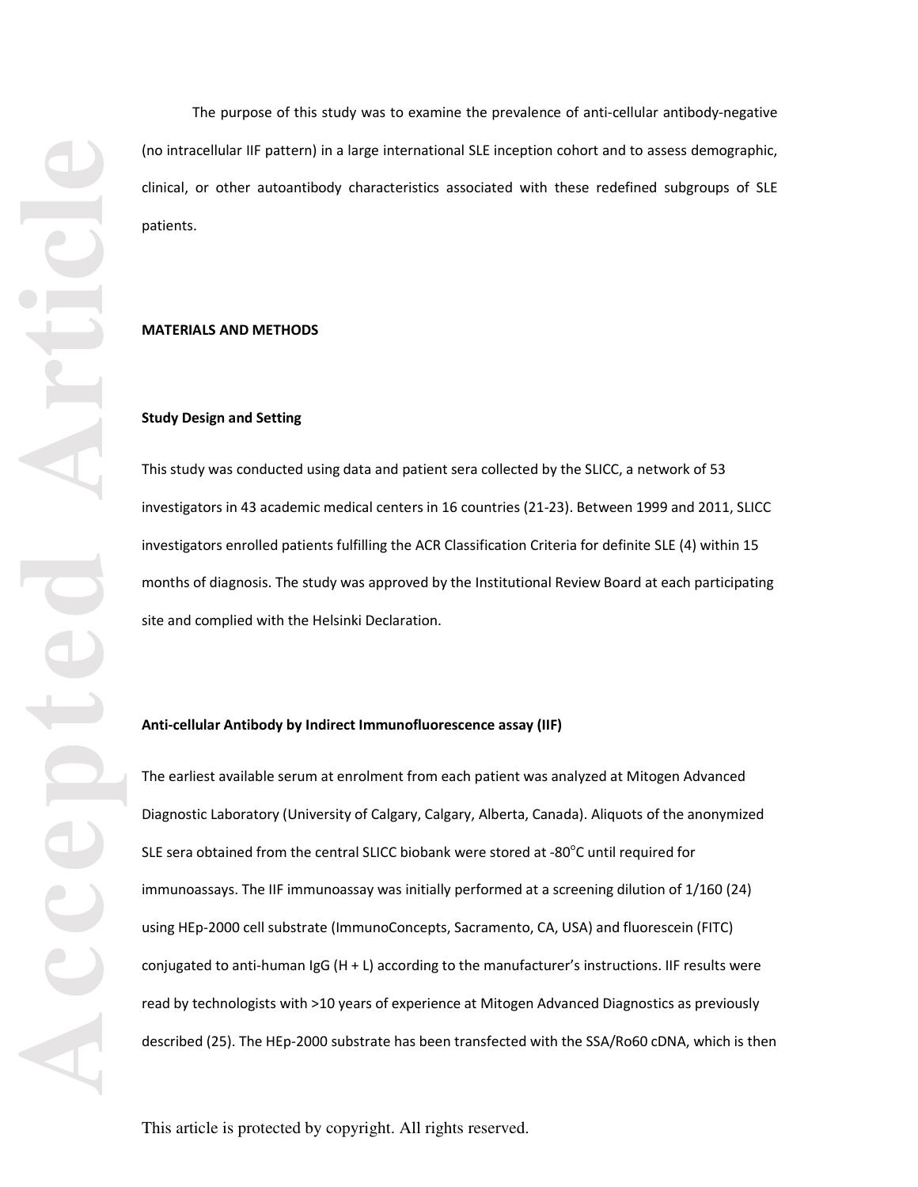The purpose of this study was to examine the prevalence of anti-cellular antibody-negative (no intracellular IIF pattern) in a large international SLE inception cohort and to assess demographic, clinical, or other autoantibody characteristics associated with these redefined subgroups of SLE patients.

## **MATERIALS AND METHODS**

#### **Study Design and Setting**

This study was conducted using data and patient sera collected by the SLICC, a network of 53 investigators in 43 academic medical centers in 16 countries (21-23). Between 1999 and 2011, SLICC investigators enrolled patients fulfilling the ACR Classification Criteria for definite SLE (4) within 15 months of diagnosis. The study was approved by the Institutional Review Board at each participating site and complied with the Helsinki Declaration.

## **Anti-cellular Antibody by Indirect Immunofluorescence assay (IIF)**

The earliest available serum at enrolment from each patient was analyzed at Mitogen Advanced Diagnostic Laboratory (University of Calgary, Calgary, Alberta, Canada). Aliquots of the anonymized SLE sera obtained from the central SLICC biobank were stored at -80 $^{\circ}$ C until required for immunoassays. The IIF immunoassay was initially performed at a screening dilution of 1/160 (24) using HEp-2000 cell substrate (ImmunoConcepts, Sacramento, CA, USA) and fluorescein (FITC) conjugated to anti-human IgG (H + L) according to the manufacturer's instructions. IIF results were read by technologists with >10 years of experience at Mitogen Advanced Diagnostics as previously described (25). The HEp-2000 substrate has been transfected with the SSA/Ro60 cDNA, which is then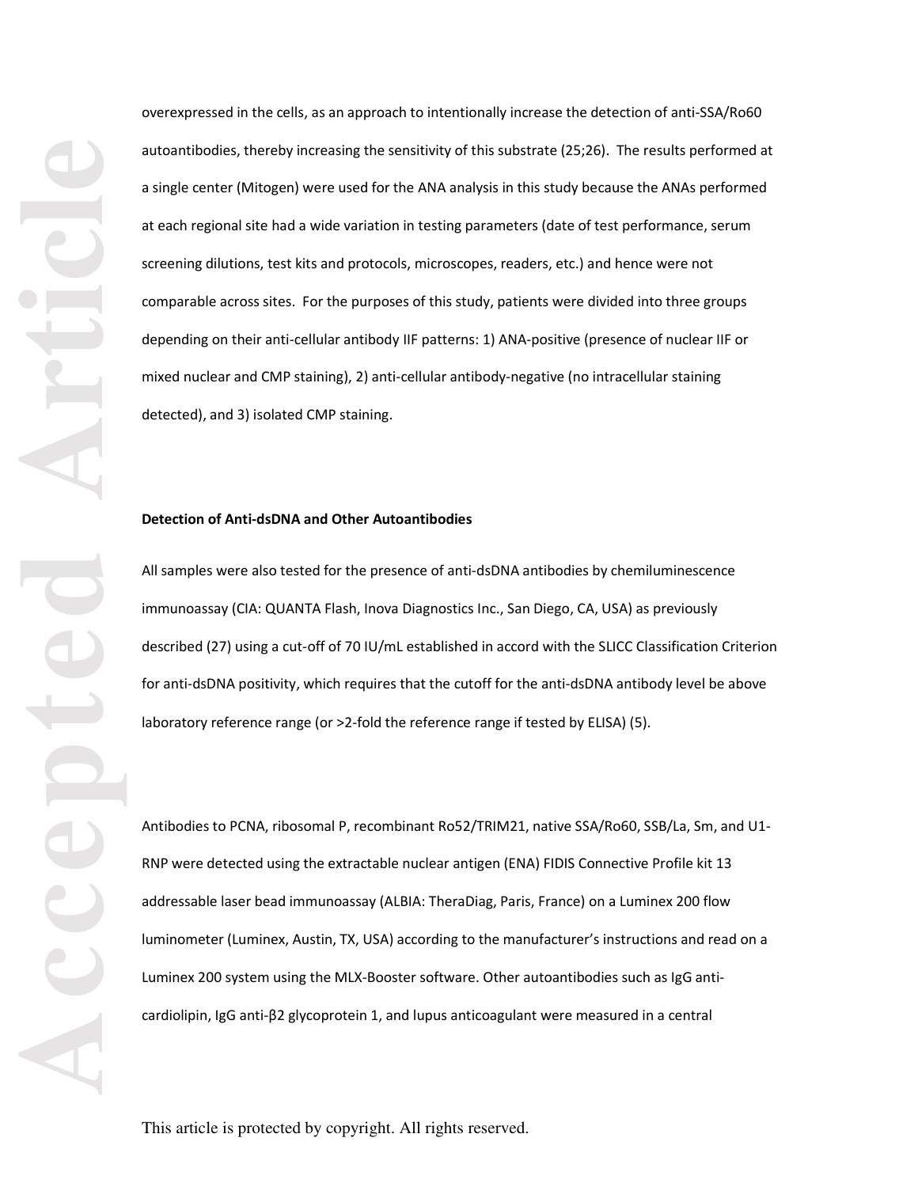overexpressed in the cells, as an approach to intentionally increase the detection of anti-SSA/Ro60 autoantibodies, thereby increasing the sensitivity of this substrate (25;26). The results performed at a single center (Mitogen) were used for the ANA analysis in this study because the ANAs performed at each regional site had a wide variation in testing parameters (date of test performance, serum screening dilutions, test kits and protocols, microscopes, readers, etc.) and hence were not comparable across sites. For the purposes of this study, patients were divided into three groups depending on their anti-cellular antibody IIF patterns: 1) ANA-positive (presence of nuclear IIF or mixed nuclear and CMP staining), 2) anti-cellular antibody-negative (no intracellular staining detected), and 3) isolated CMP staining.

## **Detection of Anti-dsDNA and Other Autoantibodies**

All samples were also tested for the presence of anti-dsDNA antibodies by chemiluminescence immunoassay (CIA: QUANTA Flash, Inova Diagnostics Inc., San Diego, CA, USA) as previously described (27) using a cut-off of 70 IU/mL established in accord with the SLICC Classification Criterion for anti-dsDNA positivity, which requires that the cutoff for the anti-dsDNA antibody level be above laboratory reference range (or >2-fold the reference range if tested by ELISA) (5).

Antibodies to PCNA, ribosomal P, recombinant Ro52/TRIM21, native SSA/Ro60, SSB/La, Sm, and U1- RNP were detected using the extractable nuclear antigen (ENA) FIDIS Connective Profile kit 13 addressable laser bead immunoassay (ALBIA: TheraDiag, Paris, France) on a Luminex 200 flow luminometer (Luminex, Austin, TX, USA) according to the manufacturer's instructions and read on a Luminex 200 system using the MLX-Booster software. Other autoantibodies such as IgG anticardiolipin, IgG anti-β2 glycoprotein 1, and lupus anticoagulant were measured in a central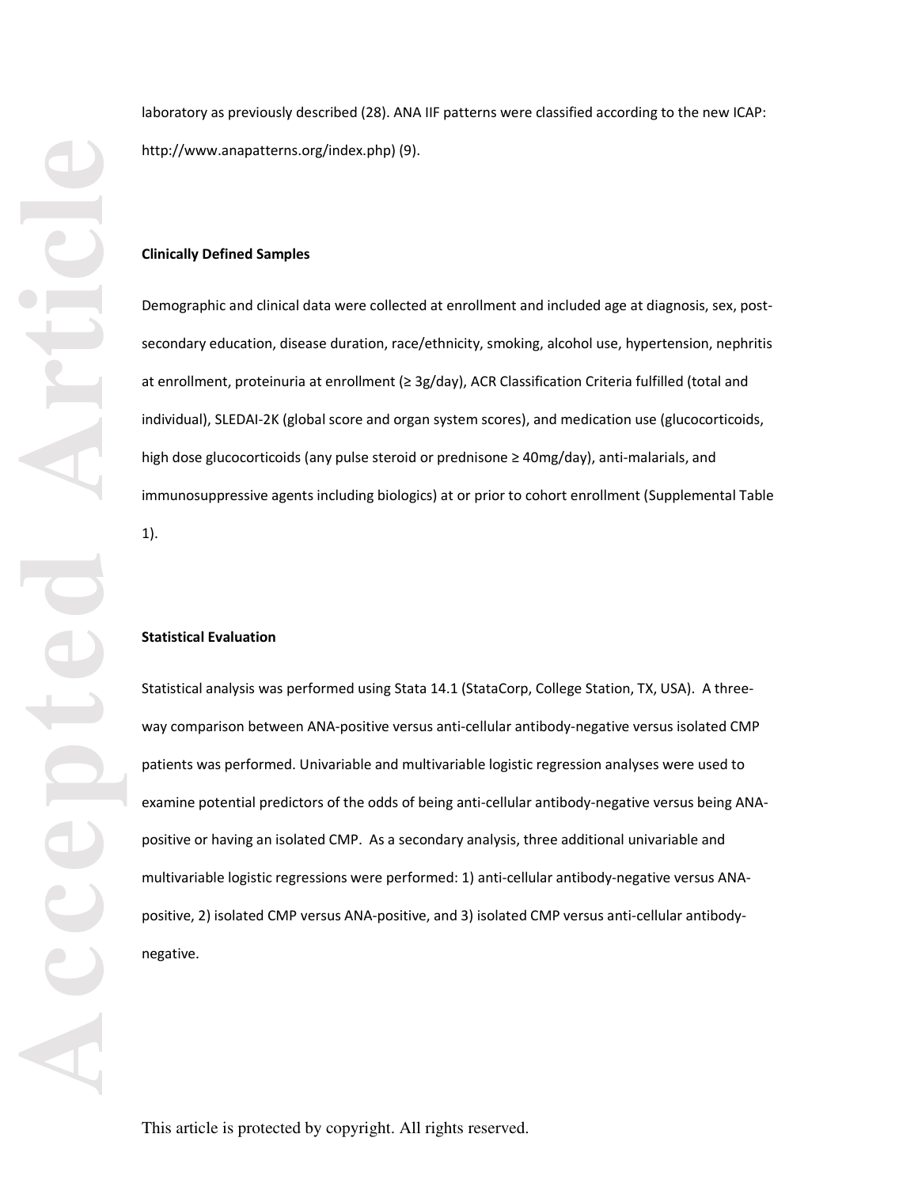laboratory as previously described (28). ANA IIF patterns were classified according to the new ICAP: http://www.anapatterns.org/index.php) (9).

## **Clinically Defined Samples**

Demographic and clinical data were collected at enrollment and included age at diagnosis, sex, postsecondary education, disease duration, race/ethnicity, smoking, alcohol use, hypertension, nephritis at enrollment, proteinuria at enrollment (≥ 3g/day), ACR Classification Criteria fulfilled (total and individual), SLEDAI-2K (global score and organ system scores), and medication use (glucocorticoids, high dose glucocorticoids (any pulse steroid or prednisone ≥ 40mg/day), anti-malarials, and immunosuppressive agents including biologics) at or prior to cohort enrollment (Supplemental Table 1).

#### **Statistical Evaluation**

Statistical analysis was performed using Stata 14.1 (StataCorp, College Station, TX, USA). A threeway comparison between ANA-positive versus anti-cellular antibody-negative versus isolated CMP patients was performed. Univariable and multivariable logistic regression analyses were used to examine potential predictors of the odds of being anti-cellular antibody-negative versus being ANApositive or having an isolated CMP. As a secondary analysis, three additional univariable and multivariable logistic regressions were performed: 1) anti-cellular antibody-negative versus ANApositive, 2) isolated CMP versus ANA-positive, and 3) isolated CMP versus anti-cellular antibodynegative.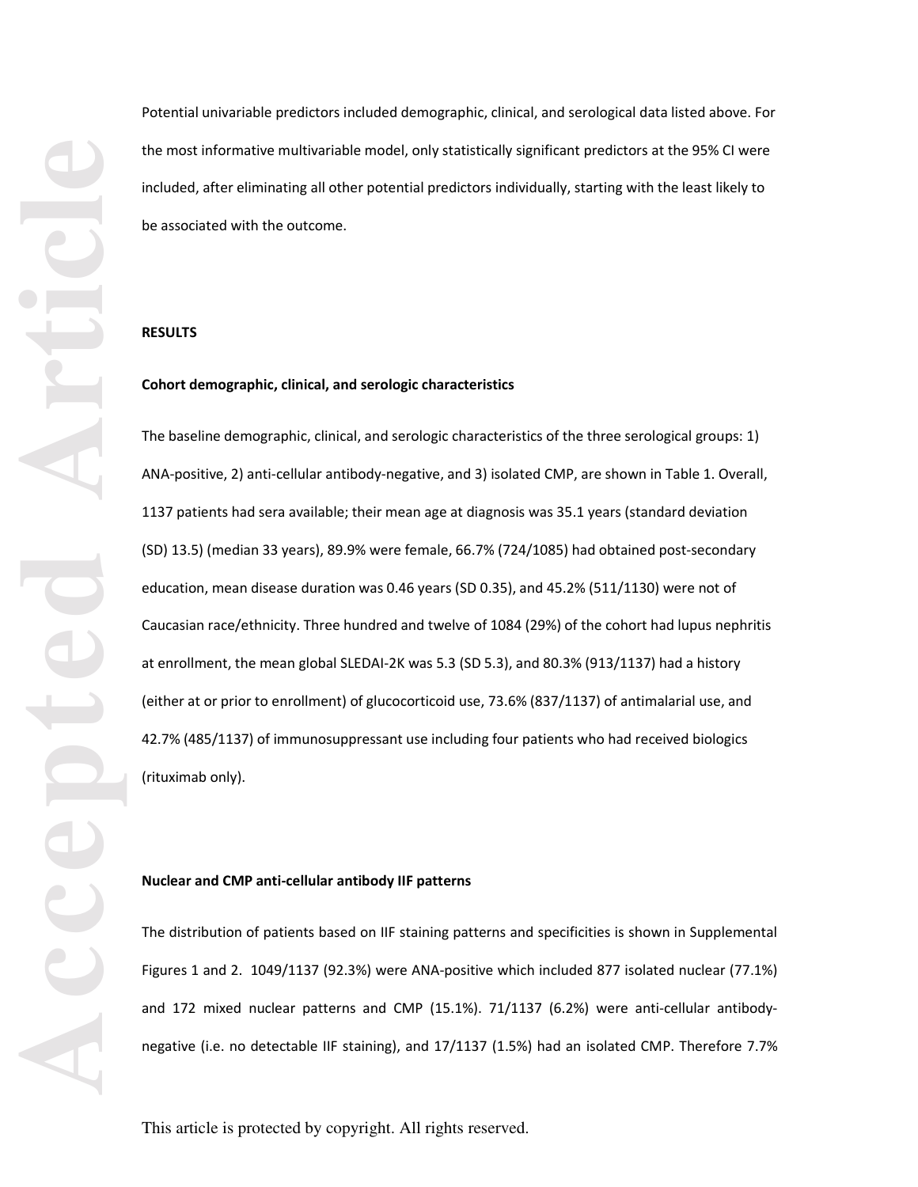Potential univariable predictors included demographic, clinical, and serological data listed above. For the most informative multivariable model, only statistically significant predictors at the 95% CI were included, after eliminating all other potential predictors individually, starting with the least likely to be associated with the outcome.

#### **RESULTS**

#### **Cohort demographic, clinical, and serologic characteristics**

The baseline demographic, clinical, and serologic characteristics of the three serological groups: 1) ANA-positive, 2) anti-cellular antibody-negative, and 3) isolated CMP, are shown in Table 1. Overall, 1137 patients had sera available; their mean age at diagnosis was 35.1 years (standard deviation (SD) 13.5) (median 33 years), 89.9% were female, 66.7% (724/1085) had obtained post-secondary education, mean disease duration was 0.46 years (SD 0.35), and 45.2% (511/1130) were not of Caucasian race/ethnicity. Three hundred and twelve of 1084 (29%) of the cohort had lupus nephritis at enrollment, the mean global SLEDAI-2K was 5.3 (SD 5.3), and 80.3% (913/1137) had a history (either at or prior to enrollment) of glucocorticoid use, 73.6% (837/1137) of antimalarial use, and 42.7% (485/1137) of immunosuppressant use including four patients who had received biologics (rituximab only).

#### **Nuclear and CMP anti-cellular antibody IIF patterns**

The distribution of patients based on IIF staining patterns and specificities is shown in Supplemental Figures 1 and 2. 1049/1137 (92.3%) were ANA-positive which included 877 isolated nuclear (77.1%) and 172 mixed nuclear patterns and CMP (15.1%). 71/1137 (6.2%) were anti-cellular antibodynegative (i.e. no detectable IIF staining), and 17/1137 (1.5%) had an isolated CMP. Therefore 7.7%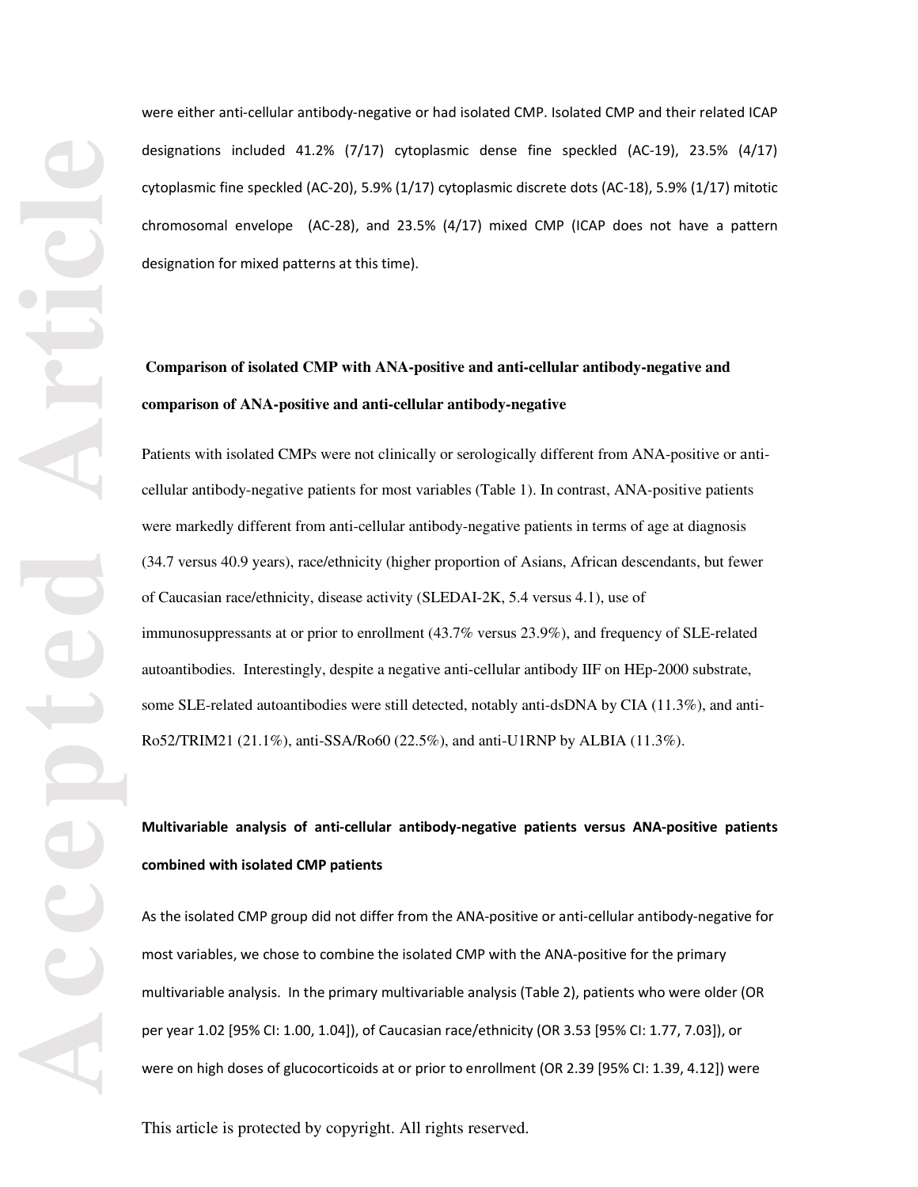were either anti-cellular antibody-negative or had isolated CMP. Isolated CMP and their related ICAP designations included 41.2% (7/17) cytoplasmic dense fine speckled (AC-19), 23.5% (4/17) cytoplasmic fine speckled (AC-20), 5.9% (1/17) cytoplasmic discrete dots (AC-18), 5.9% (1/17) mitotic chromosomal envelope (AC-28), and 23.5% (4/17) mixed CMP (ICAP does not have a pattern designation for mixed patterns at this time).

# **Comparison of isolated CMP with ANA-positive and anti-cellular antibody-negative and comparison of ANA-positive and anti-cellular antibody-negative**

Patients with isolated CMPs were not clinically or serologically different from ANA-positive or anticellular antibody-negative patients for most variables (Table 1). In contrast, ANA-positive patients were markedly different from anti-cellular antibody-negative patients in terms of age at diagnosis (34.7 versus 40.9 years), race/ethnicity (higher proportion of Asians, African descendants, but fewer of Caucasian race/ethnicity, disease activity (SLEDAI-2K, 5.4 versus 4.1), use of immunosuppressants at or prior to enrollment (43.7% versus 23.9%), and frequency of SLE-related autoantibodies. Interestingly, despite a negative anti-cellular antibody IIF on HEp-2000 substrate, some SLE-related autoantibodies were still detected, notably anti-dsDNA by CIA (11.3%), and anti-Ro52/TRIM21 (21.1%), anti-SSA/Ro60 (22.5%), and anti-U1RNP by ALBIA (11.3%).

**Multivariable analysis of anti-cellular antibody-negative patients versus ANA-positive patients combined with isolated CMP patients** 

As the isolated CMP group did not differ from the ANA-positive or anti-cellular antibody-negative for most variables, we chose to combine the isolated CMP with the ANA-positive for the primary multivariable analysis. In the primary multivariable analysis (Table 2), patients who were older (OR per year 1.02 [95% CI: 1.00, 1.04]), of Caucasian race/ethnicity (OR 3.53 [95% CI: 1.77, 7.03]), or were on high doses of glucocorticoids at or prior to enrollment (OR 2.39 [95% CI: 1.39, 4.12]) were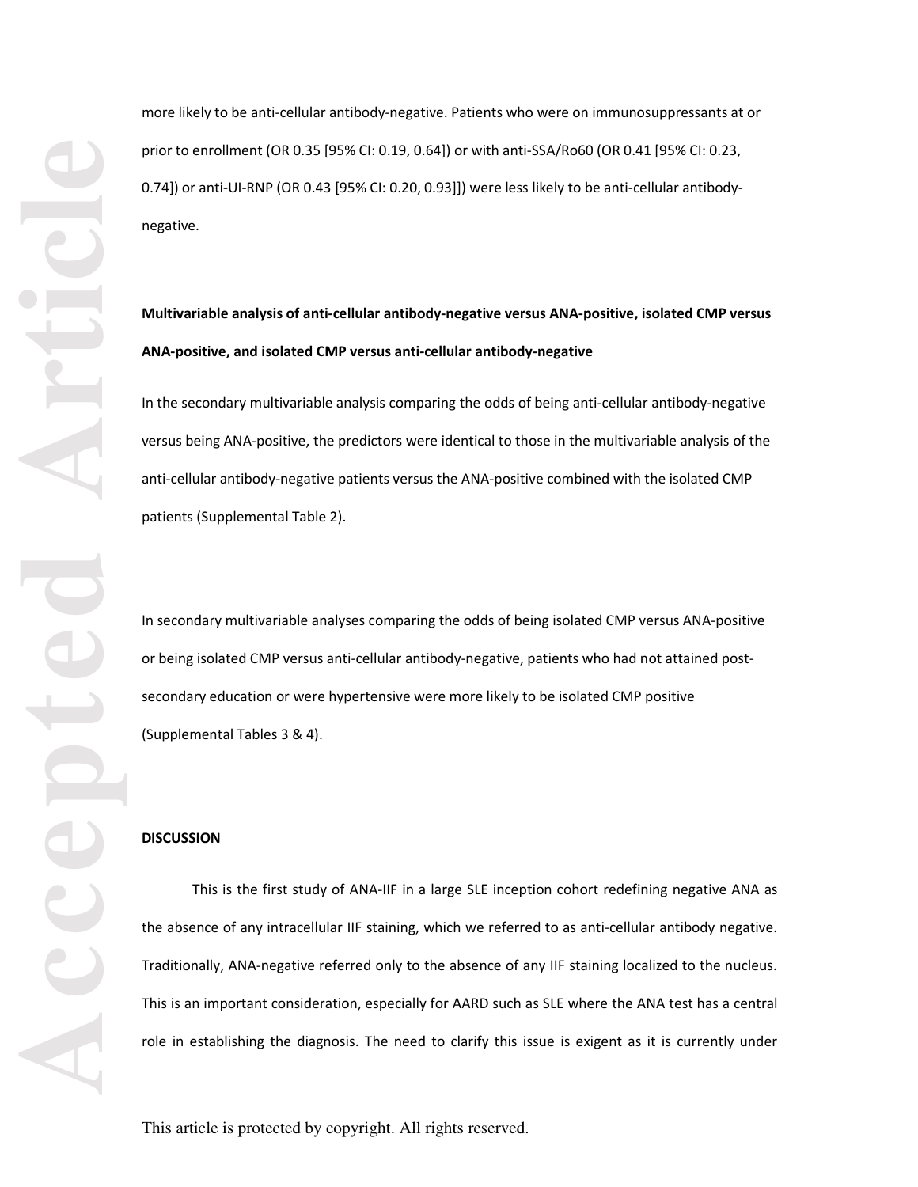more likely to be anti-cellular antibody-negative. Patients who were on immunosuppressants at or prior to enrollment (OR 0.35 [95% CI: 0.19, 0.64]) or with anti-SSA/Ro60 (OR 0.41 [95% CI: 0.23, 0.74]) or anti-UI-RNP (OR 0.43 [95% CI: 0.20, 0.93]]) were less likely to be anti-cellular antibodynegative.

# **Multivariable analysis of anti-cellular antibody-negative versus ANA-positive, isolated CMP versus ANA-positive, and isolated CMP versus anti-cellular antibody-negative**

In the secondary multivariable analysis comparing the odds of being anti-cellular antibody-negative versus being ANA-positive, the predictors were identical to those in the multivariable analysis of the anti-cellular antibody-negative patients versus the ANA-positive combined with the isolated CMP patients (Supplemental Table 2).

In secondary multivariable analyses comparing the odds of being isolated CMP versus ANA-positive or being isolated CMP versus anti-cellular antibody-negative, patients who had not attained postsecondary education or were hypertensive were more likely to be isolated CMP positive (Supplemental Tables 3 & 4).

#### **DISCUSSION**

This is the first study of ANA-IIF in a large SLE inception cohort redefining negative ANA as the absence of any intracellular IIF staining, which we referred to as anti-cellular antibody negative. Traditionally, ANA-negative referred only to the absence of any IIF staining localized to the nucleus. This is an important consideration, especially for AARD such as SLE where the ANA test has a central role in establishing the diagnosis. The need to clarify this issue is exigent as it is currently under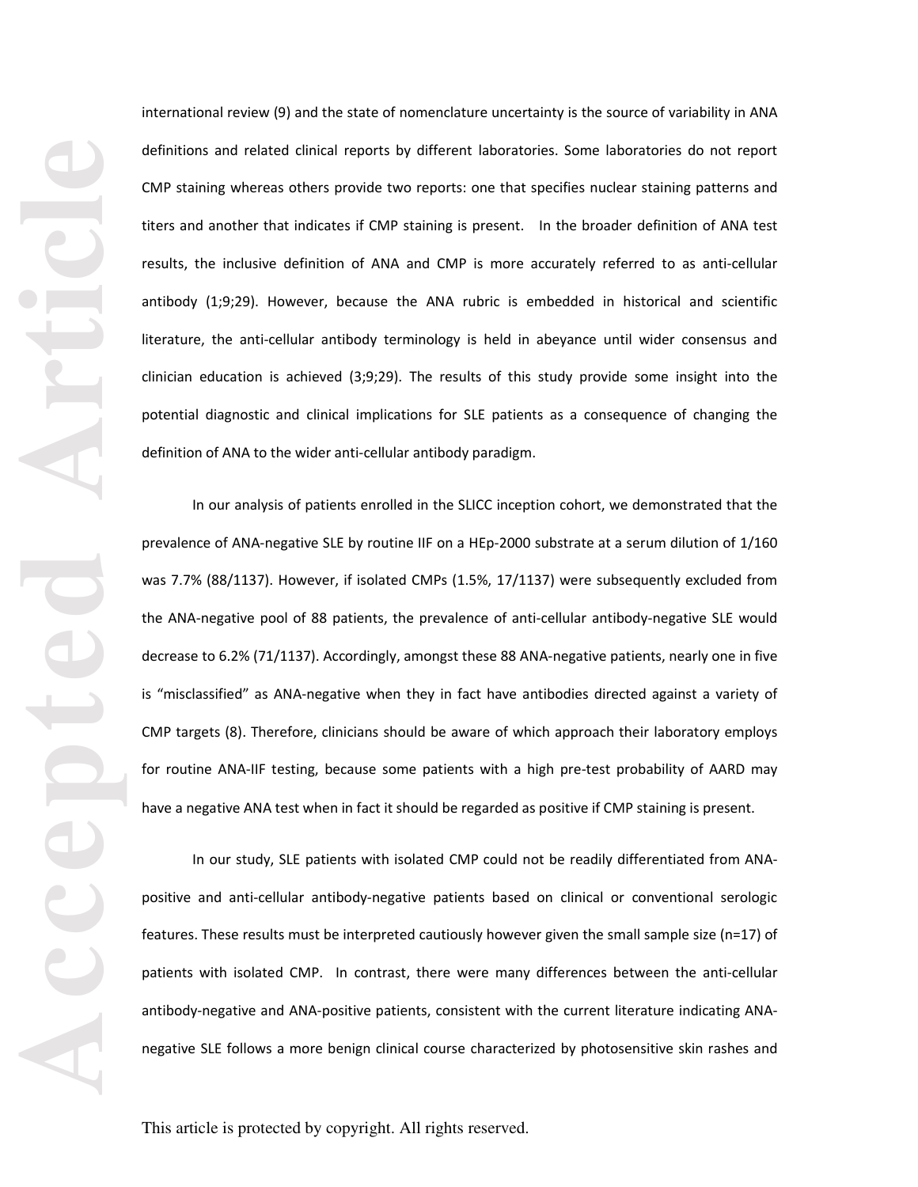international review (9) and the state of nomenclature uncertainty is the source of variability in ANA definitions and related clinical reports by different laboratories. Some laboratories do not report CMP staining whereas others provide two reports: one that specifies nuclear staining patterns and titers and another that indicates if CMP staining is present. In the broader definition of ANA test results, the inclusive definition of ANA and CMP is more accurately referred to as anti-cellular antibody (1;9;29). However, because the ANA rubric is embedded in historical and scientific literature, the anti-cellular antibody terminology is held in abeyance until wider consensus and clinician education is achieved (3;9;29). The results of this study provide some insight into the potential diagnostic and clinical implications for SLE patients as a consequence of changing the definition of ANA to the wider anti-cellular antibody paradigm.

In our analysis of patients enrolled in the SLICC inception cohort, we demonstrated that the prevalence of ANA-negative SLE by routine IIF on a HEp-2000 substrate at a serum dilution of 1/160 was 7.7% (88/1137). However, if isolated CMPs (1.5%, 17/1137) were subsequently excluded from the ANA-negative pool of 88 patients, the prevalence of anti-cellular antibody-negative SLE would decrease to 6.2% (71/1137). Accordingly, amongst these 88 ANA-negative patients, nearly one in five is "misclassified" as ANA-negative when they in fact have antibodies directed against a variety of CMP targets (8). Therefore, clinicians should be aware of which approach their laboratory employs for routine ANA-IIF testing, because some patients with a high pre-test probability of AARD may have a negative ANA test when in fact it should be regarded as positive if CMP staining is present.

In our study, SLE patients with isolated CMP could not be readily differentiated from ANApositive and anti-cellular antibody-negative patients based on clinical or conventional serologic features. These results must be interpreted cautiously however given the small sample size (n=17) of patients with isolated CMP. In contrast, there were many differences between the anti-cellular antibody-negative and ANA-positive patients, consistent with the current literature indicating ANAnegative SLE follows a more benign clinical course characterized by photosensitive skin rashes and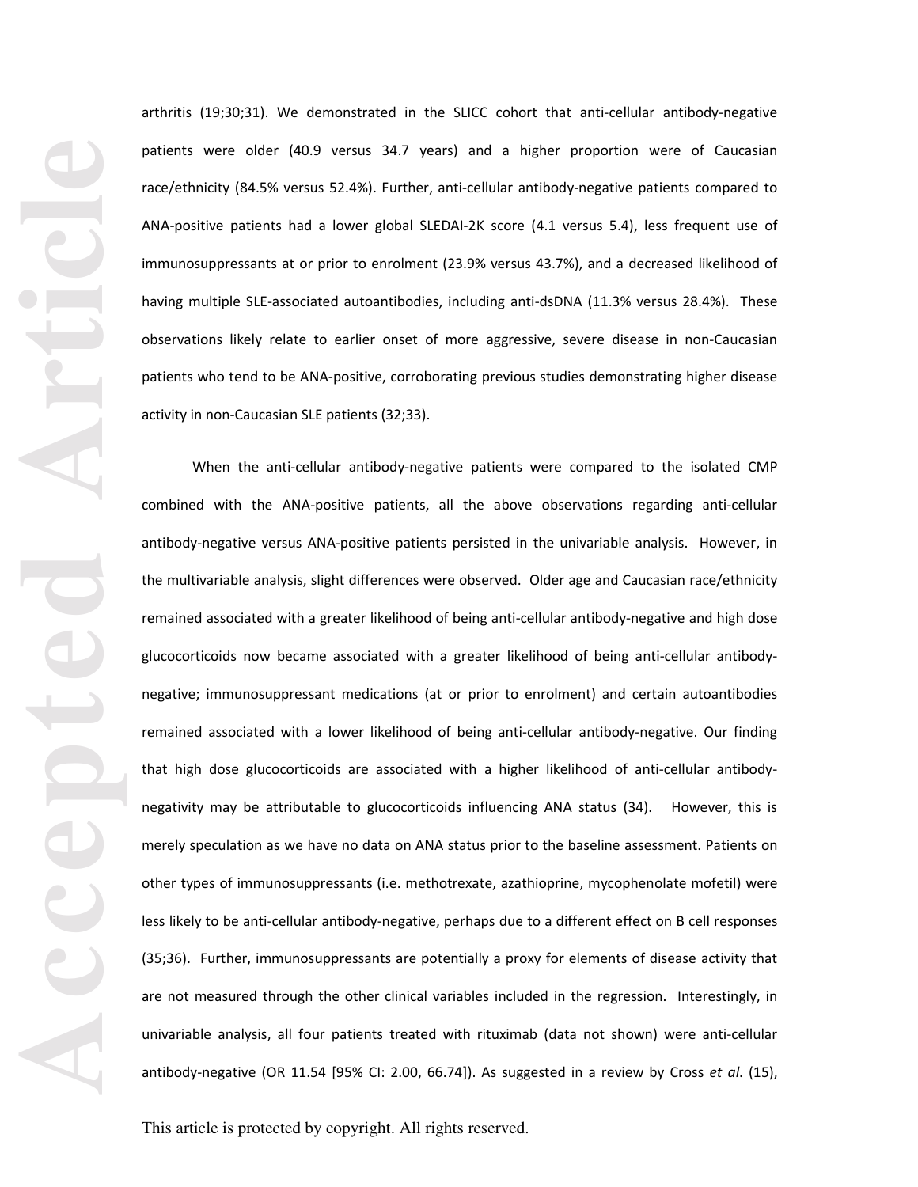arthritis (19;30;31). We demonstrated in the SLICC cohort that anti-cellular antibody-negative patients were older (40.9 versus 34.7 years) and a higher proportion were of Caucasian race/ethnicity (84.5% versus 52.4%). Further, anti-cellular antibody-negative patients compared to ANA-positive patients had a lower global SLEDAI-2K score (4.1 versus 5.4), less frequent use of immunosuppressants at or prior to enrolment (23.9% versus 43.7%), and a decreased likelihood of having multiple SLE-associated autoantibodies, including anti-dsDNA (11.3% versus 28.4%). These observations likely relate to earlier onset of more aggressive, severe disease in non-Caucasian patients who tend to be ANA-positive, corroborating previous studies demonstrating higher disease activity in non-Caucasian SLE patients (32;33).

When the anti-cellular antibody-negative patients were compared to the isolated CMP combined with the ANA-positive patients, all the above observations regarding anti-cellular antibody-negative versus ANA-positive patients persisted in the univariable analysis. However, in the multivariable analysis, slight differences were observed. Older age and Caucasian race/ethnicity remained associated with a greater likelihood of being anti-cellular antibody-negative and high dose glucocorticoids now became associated with a greater likelihood of being anti-cellular antibodynegative; immunosuppressant medications (at or prior to enrolment) and certain autoantibodies remained associated with a lower likelihood of being anti-cellular antibody-negative. Our finding that high dose glucocorticoids are associated with a higher likelihood of anti-cellular antibodynegativity may be attributable to glucocorticoids influencing ANA status (34). However, this is merely speculation as we have no data on ANA status prior to the baseline assessment. Patients on other types of immunosuppressants (i.e. methotrexate, azathioprine, mycophenolate mofetil) were less likely to be anti-cellular antibody-negative, perhaps due to a different effect on B cell responses (35;36). Further, immunosuppressants are potentially a proxy for elements of disease activity that are not measured through the other clinical variables included in the regression. Interestingly, in univariable analysis, all four patients treated with rituximab (data not shown) were anti-cellular antibody-negative (OR 11.54 [95% CI: 2.00, 66.74]). As suggested in a review by Cross *et al*. (15),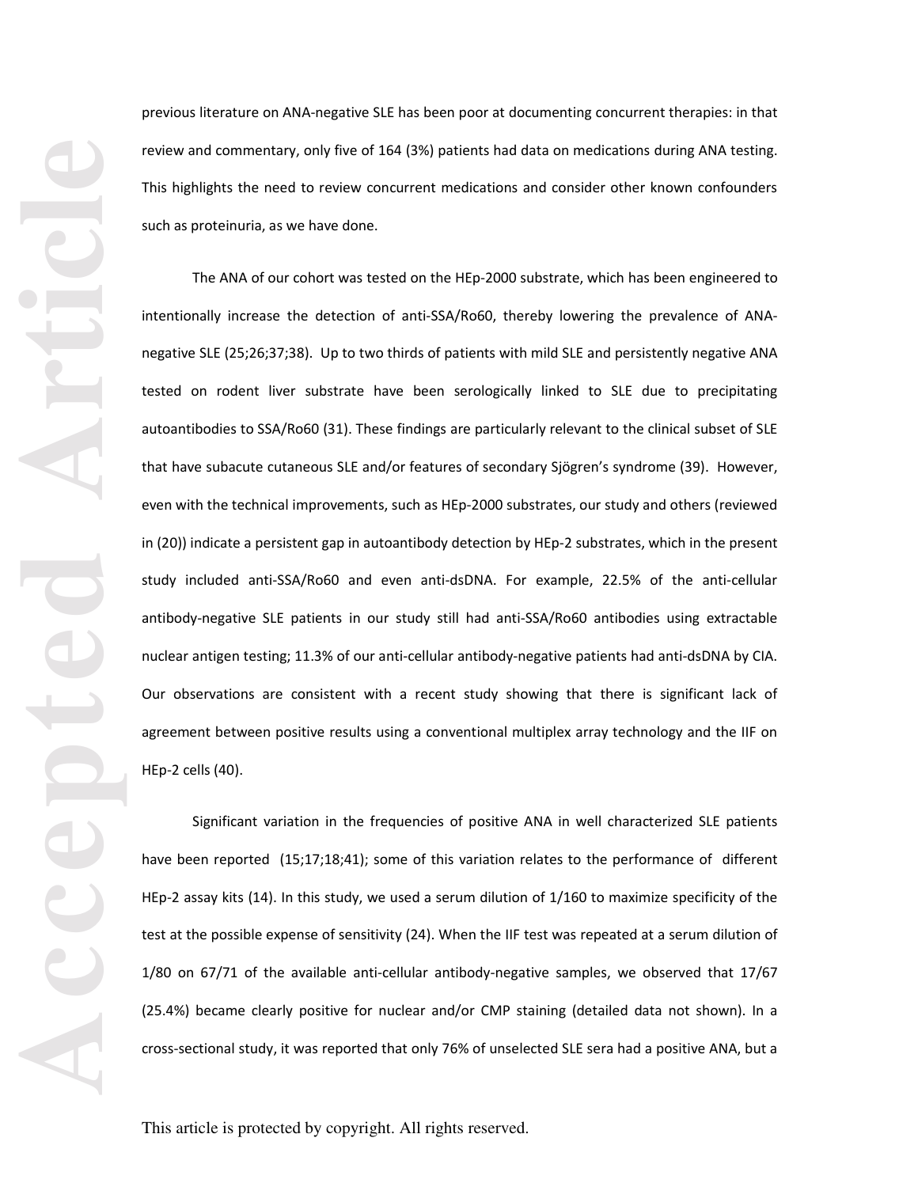previous literature on ANA-negative SLE has been poor at documenting concurrent therapies: in that review and commentary, only five of 164 (3%) patients had data on medications during ANA testing. This highlights the need to review concurrent medications and consider other known confounders such as proteinuria, as we have done.

The ANA of our cohort was tested on the HEp-2000 substrate, which has been engineered to intentionally increase the detection of anti-SSA/Ro60, thereby lowering the prevalence of ANAnegative SLE (25;26;37;38). Up to two thirds of patients with mild SLE and persistently negative ANA tested on rodent liver substrate have been serologically linked to SLE due to precipitating autoantibodies to SSA/Ro60 (31). These findings are particularly relevant to the clinical subset of SLE that have subacute cutaneous SLE and/or features of secondary Sjögren's syndrome (39). However, even with the technical improvements, such as HEp-2000 substrates, our study and others (reviewed in (20)) indicate a persistent gap in autoantibody detection by HEp-2 substrates, which in the present study included anti-SSA/Ro60 and even anti-dsDNA. For example, 22.5% of the anti-cellular antibody-negative SLE patients in our study still had anti-SSA/Ro60 antibodies using extractable nuclear antigen testing; 11.3% of our anti-cellular antibody-negative patients had anti-dsDNA by CIA. Our observations are consistent with a recent study showing that there is significant lack of agreement between positive results using a conventional multiplex array technology and the IIF on HEp-2 cells (40).

Significant variation in the frequencies of positive ANA in well characterized SLE patients have been reported (15;17;18;41); some of this variation relates to the performance of different HEp-2 assay kits (14). In this study, we used a serum dilution of 1/160 to maximize specificity of the test at the possible expense of sensitivity (24). When the IIF test was repeated at a serum dilution of 1/80 on 67/71 of the available anti-cellular antibody-negative samples, we observed that 17/67 (25.4%) became clearly positive for nuclear and/or CMP staining (detailed data not shown). In a cross-sectional study, it was reported that only 76% of unselected SLE sera had a positive ANA, but a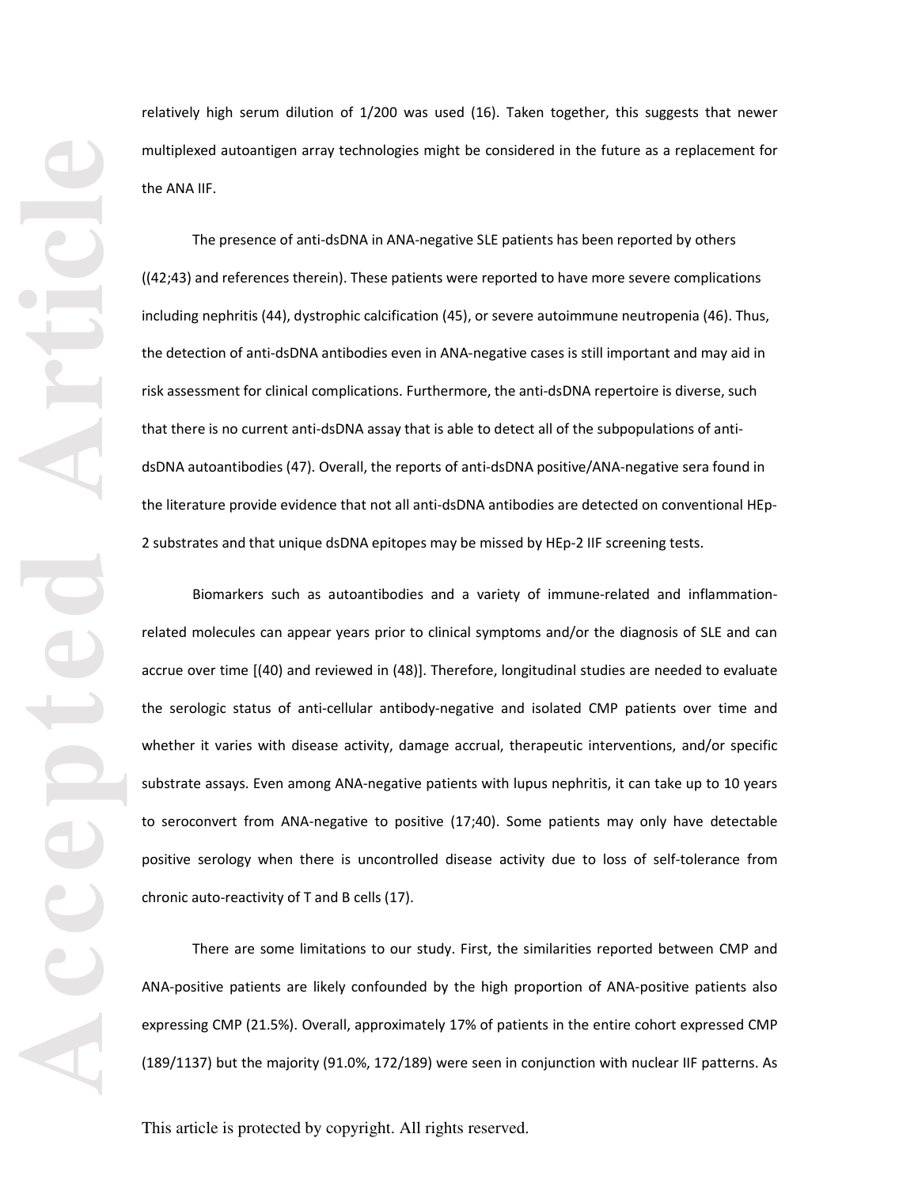relatively high serum dilution of 1/200 was used (16). Taken together, this suggests that newer multiplexed autoantigen array technologies might be considered in the future as a replacement for the ANA IIF.

The presence of anti-dsDNA in ANA-negative SLE patients has been reported by others ((42;43) and references therein). These patients were reported to have more severe complications including nephritis (44), dystrophic calcification (45), or severe autoimmune neutropenia (46). Thus, the detection of anti-dsDNA antibodies even in ANA-negative cases is still important and may aid in risk assessment for clinical complications. Furthermore, the anti-dsDNA repertoire is diverse, such that there is no current anti-dsDNA assay that is able to detect all of the subpopulations of antidsDNA autoantibodies (47). Overall, the reports of anti-dsDNA positive/ANA-negative sera found in the literature provide evidence that not all anti-dsDNA antibodies are detected on conventional HEp-2 substrates and that unique dsDNA epitopes may be missed by HEp-2 IIF screening tests.

Biomarkers such as autoantibodies and a variety of immune-related and inflammationrelated molecules can appear years prior to clinical symptoms and/or the diagnosis of SLE and can accrue over time [(40) and reviewed in (48)]. Therefore, longitudinal studies are needed to evaluate the serologic status of anti-cellular antibody-negative and isolated CMP patients over time and whether it varies with disease activity, damage accrual, therapeutic interventions, and/or specific substrate assays. Even among ANA-negative patients with lupus nephritis, it can take up to 10 years to seroconvert from ANA-negative to positive (17;40). Some patients may only have detectable positive serology when there is uncontrolled disease activity due to loss of self-tolerance from chronic auto-reactivity of T and B cells (17).

There are some limitations to our study. First, the similarities reported between CMP and ANA-positive patients are likely confounded by the high proportion of ANA-positive patients also expressing CMP (21.5%). Overall, approximately 17% of patients in the entire cohort expressed CMP (189/1137) but the majority (91.0%, 172/189) were seen in conjunction with nuclear IIF patterns. As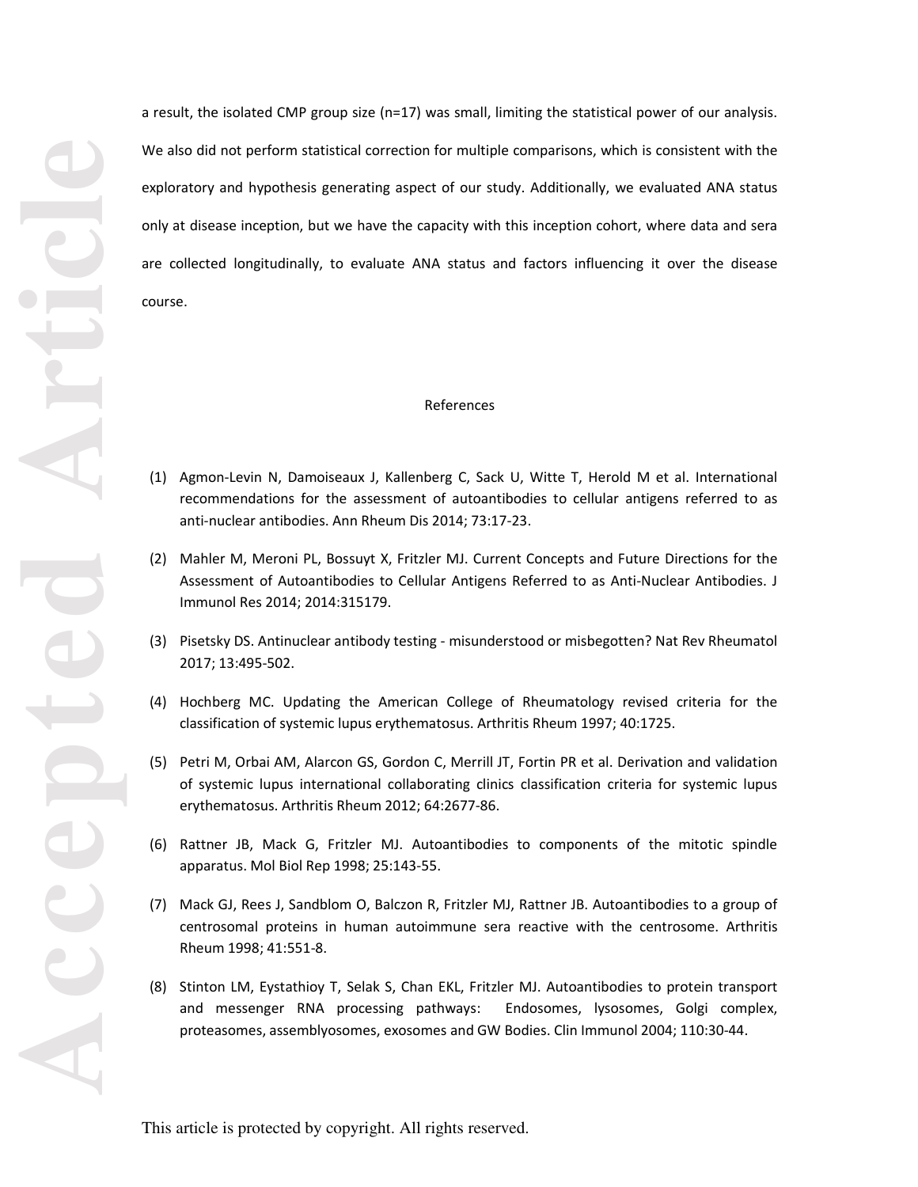a result, the isolated CMP group size (n=17) was small, limiting the statistical power of our analysis. We also did not perform statistical correction for multiple comparisons, which is consistent with the exploratory and hypothesis generating aspect of our study. Additionally, we evaluated ANA status only at disease inception, but we have the capacity with this inception cohort, where data and sera are collected longitudinally, to evaluate ANA status and factors influencing it over the disease course.

## References

- (1) Agmon-Levin N, Damoiseaux J, Kallenberg C, Sack U, Witte T, Herold M et al. International recommendations for the assessment of autoantibodies to cellular antigens referred to as anti-nuclear antibodies. Ann Rheum Dis 2014; 73:17-23.
- (2) Mahler M, Meroni PL, Bossuyt X, Fritzler MJ. Current Concepts and Future Directions for the Assessment of Autoantibodies to Cellular Antigens Referred to as Anti-Nuclear Antibodies. J Immunol Res 2014; 2014:315179.
- (3) Pisetsky DS. Antinuclear antibody testing misunderstood or misbegotten? Nat Rev Rheumatol 2017; 13:495-502.
- (4) Hochberg MC. Updating the American College of Rheumatology revised criteria for the classification of systemic lupus erythematosus. Arthritis Rheum 1997; 40:1725.
- (5) Petri M, Orbai AM, Alarcon GS, Gordon C, Merrill JT, Fortin PR et al. Derivation and validation of systemic lupus international collaborating clinics classification criteria for systemic lupus erythematosus. Arthritis Rheum 2012; 64:2677-86.
- (6) Rattner JB, Mack G, Fritzler MJ. Autoantibodies to components of the mitotic spindle apparatus. Mol Biol Rep 1998; 25:143-55.
- (7) Mack GJ, Rees J, Sandblom O, Balczon R, Fritzler MJ, Rattner JB. Autoantibodies to a group of centrosomal proteins in human autoimmune sera reactive with the centrosome. Arthritis Rheum 1998; 41:551-8.
- (8) Stinton LM, Eystathioy T, Selak S, Chan EKL, Fritzler MJ. Autoantibodies to protein transport and messenger RNA processing pathways: Endosomes, lysosomes, Golgi complex, proteasomes, assemblyosomes, exosomes and GW Bodies. Clin Immunol 2004; 110:30-44.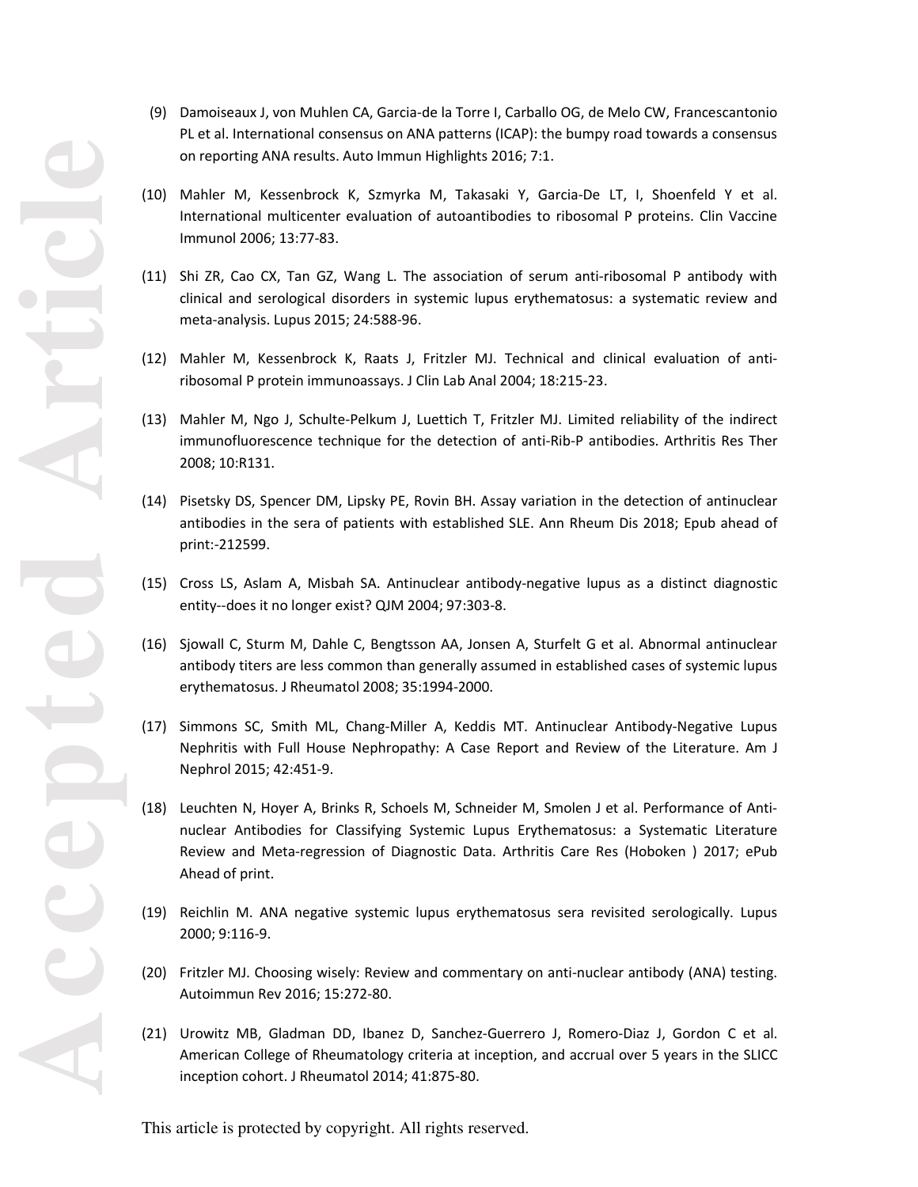- (9) Damoiseaux J, von Muhlen CA, Garcia-de la Torre I, Carballo OG, de Melo CW, Francescantonio PL et al. International consensus on ANA patterns (ICAP): the bumpy road towards a consensus on reporting ANA results. Auto Immun Highlights 2016; 7:1.
- (10) Mahler M, Kessenbrock K, Szmyrka M, Takasaki Y, Garcia-De LT, I, Shoenfeld Y et al. International multicenter evaluation of autoantibodies to ribosomal P proteins. Clin Vaccine Immunol 2006; 13:77-83.
- (11) Shi ZR, Cao CX, Tan GZ, Wang L. The association of serum anti-ribosomal P antibody with clinical and serological disorders in systemic lupus erythematosus: a systematic review and meta-analysis. Lupus 2015; 24:588-96.
- (12) Mahler M, Kessenbrock K, Raats J, Fritzler MJ. Technical and clinical evaluation of antiribosomal P protein immunoassays. J Clin Lab Anal 2004; 18:215-23.
- (13) Mahler M, Ngo J, Schulte-Pelkum J, Luettich T, Fritzler MJ. Limited reliability of the indirect immunofluorescence technique for the detection of anti-Rib-P antibodies. Arthritis Res Ther 2008; 10:R131.
- (14) Pisetsky DS, Spencer DM, Lipsky PE, Rovin BH. Assay variation in the detection of antinuclear antibodies in the sera of patients with established SLE. Ann Rheum Dis 2018; Epub ahead of print:-212599.
- (15) Cross LS, Aslam A, Misbah SA. Antinuclear antibody-negative lupus as a distinct diagnostic entity--does it no longer exist? QJM 2004; 97:303-8.
- (16) Sjowall C, Sturm M, Dahle C, Bengtsson AA, Jonsen A, Sturfelt G et al. Abnormal antinuclear antibody titers are less common than generally assumed in established cases of systemic lupus erythematosus. J Rheumatol 2008; 35:1994-2000.
- (17) Simmons SC, Smith ML, Chang-Miller A, Keddis MT. Antinuclear Antibody-Negative Lupus Nephritis with Full House Nephropathy: A Case Report and Review of the Literature. Am J Nephrol 2015; 42:451-9.
- (18) Leuchten N, Hoyer A, Brinks R, Schoels M, Schneider M, Smolen J et al. Performance of Antinuclear Antibodies for Classifying Systemic Lupus Erythematosus: a Systematic Literature Review and Meta-regression of Diagnostic Data. Arthritis Care Res (Hoboken ) 2017; ePub Ahead of print.
- (19) Reichlin M. ANA negative systemic lupus erythematosus sera revisited serologically. Lupus 2000; 9:116-9.
- (20) Fritzler MJ. Choosing wisely: Review and commentary on anti-nuclear antibody (ANA) testing. Autoimmun Rev 2016; 15:272-80.
- (21) Urowitz MB, Gladman DD, Ibanez D, Sanchez-Guerrero J, Romero-Diaz J, Gordon C et al. American College of Rheumatology criteria at inception, and accrual over 5 years in the SLICC inception cohort. J Rheumatol 2014; 41:875-80.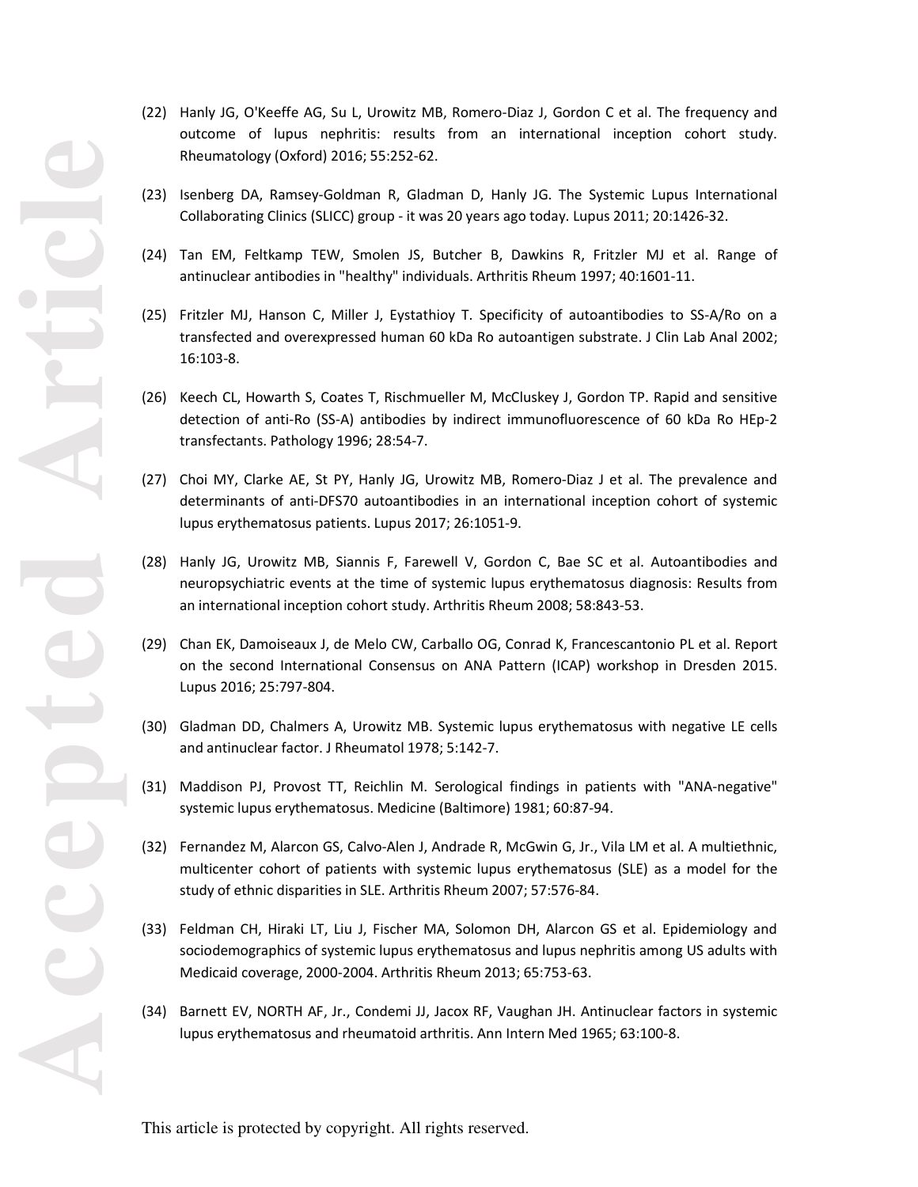- (22) Hanly JG, O'Keeffe AG, Su L, Urowitz MB, Romero-Diaz J, Gordon C et al. The frequency and outcome of lupus nephritis: results from an international inception cohort study. Rheumatology (Oxford) 2016; 55:252-62.
- (23) Isenberg DA, Ramsey-Goldman R, Gladman D, Hanly JG. The Systemic Lupus International Collaborating Clinics (SLICC) group - it was 20 years ago today. Lupus 2011; 20:1426-32.
- (24) Tan EM, Feltkamp TEW, Smolen JS, Butcher B, Dawkins R, Fritzler MJ et al. Range of antinuclear antibodies in "healthy" individuals. Arthritis Rheum 1997; 40:1601-11.
- (25) Fritzler MJ, Hanson C, Miller J, Eystathioy T. Specificity of autoantibodies to SS-A/Ro on a transfected and overexpressed human 60 kDa Ro autoantigen substrate. J Clin Lab Anal 2002; 16:103-8.
- (26) Keech CL, Howarth S, Coates T, Rischmueller M, McCluskey J, Gordon TP. Rapid and sensitive detection of anti-Ro (SS-A) antibodies by indirect immunofluorescence of 60 kDa Ro HEp-2 transfectants. Pathology 1996; 28:54-7.
- (27) Choi MY, Clarke AE, St PY, Hanly JG, Urowitz MB, Romero-Diaz J et al. The prevalence and determinants of anti-DFS70 autoantibodies in an international inception cohort of systemic lupus erythematosus patients. Lupus 2017; 26:1051-9.
- (28) Hanly JG, Urowitz MB, Siannis F, Farewell V, Gordon C, Bae SC et al. Autoantibodies and neuropsychiatric events at the time of systemic lupus erythematosus diagnosis: Results from an international inception cohort study. Arthritis Rheum 2008; 58:843-53.
- (29) Chan EK, Damoiseaux J, de Melo CW, Carballo OG, Conrad K, Francescantonio PL et al. Report on the second International Consensus on ANA Pattern (ICAP) workshop in Dresden 2015. Lupus 2016; 25:797-804.
- (30) Gladman DD, Chalmers A, Urowitz MB. Systemic lupus erythematosus with negative LE cells and antinuclear factor. J Rheumatol 1978; 5:142-7.
- (31) Maddison PJ, Provost TT, Reichlin M. Serological findings in patients with "ANA-negative" systemic lupus erythematosus. Medicine (Baltimore) 1981; 60:87-94.
- (32) Fernandez M, Alarcon GS, Calvo-Alen J, Andrade R, McGwin G, Jr., Vila LM et al. A multiethnic, multicenter cohort of patients with systemic lupus erythematosus (SLE) as a model for the study of ethnic disparities in SLE. Arthritis Rheum 2007; 57:576-84.
- (33) Feldman CH, Hiraki LT, Liu J, Fischer MA, Solomon DH, Alarcon GS et al. Epidemiology and sociodemographics of systemic lupus erythematosus and lupus nephritis among US adults with Medicaid coverage, 2000-2004. Arthritis Rheum 2013; 65:753-63.
- (34) Barnett EV, NORTH AF, Jr., Condemi JJ, Jacox RF, Vaughan JH. Antinuclear factors in systemic lupus erythematosus and rheumatoid arthritis. Ann Intern Med 1965; 63:100-8.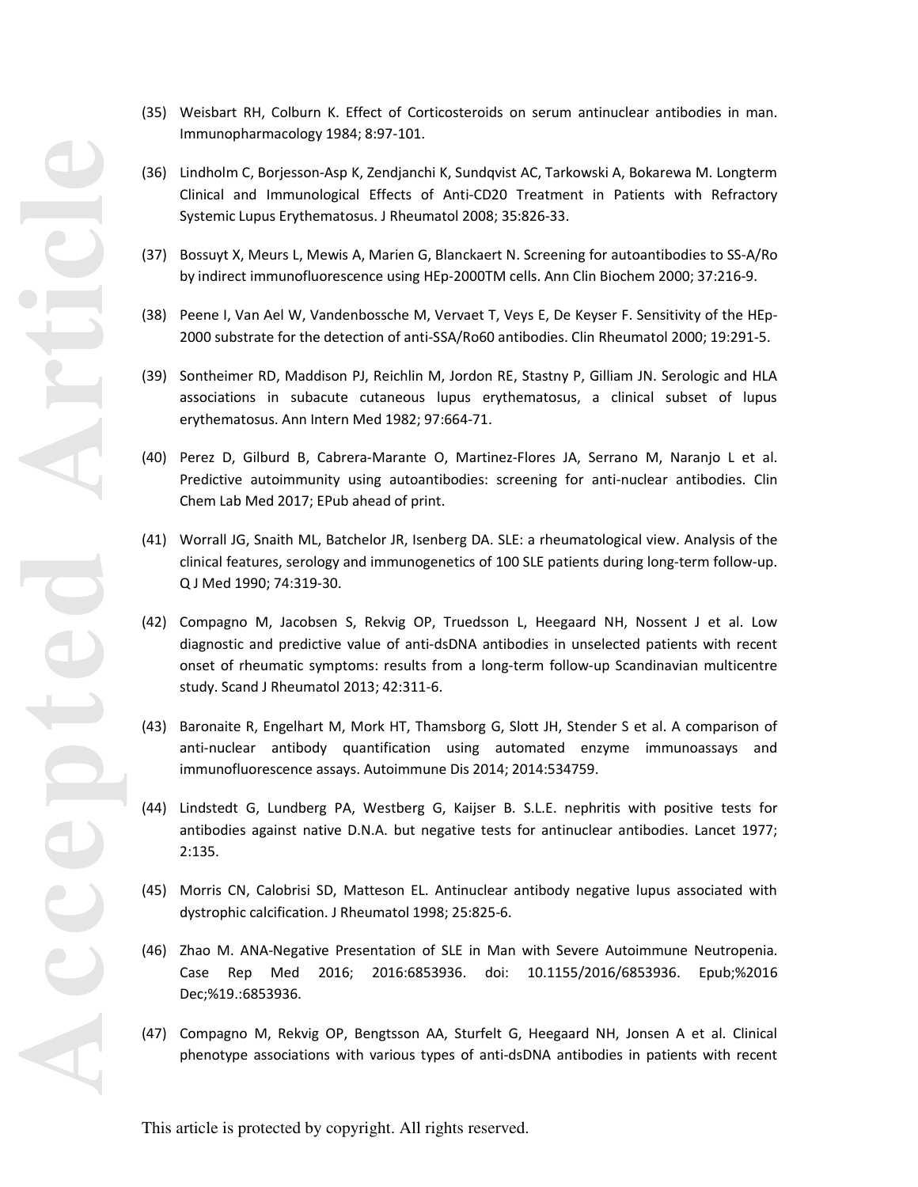- (35) Weisbart RH, Colburn K. Effect of Corticosteroids on serum antinuclear antibodies in man. Immunopharmacology 1984; 8:97-101.
- (36) Lindholm C, Borjesson-Asp K, Zendjanchi K, Sundqvist AC, Tarkowski A, Bokarewa M. Longterm Clinical and Immunological Effects of Anti-CD20 Treatment in Patients with Refractory Systemic Lupus Erythematosus. J Rheumatol 2008; 35:826-33.
- (37) Bossuyt X, Meurs L, Mewis A, Marien G, Blanckaert N. Screening for autoantibodies to SS-A/Ro by indirect immunofluorescence using HEp-2000TM cells. Ann Clin Biochem 2000; 37:216-9.
- (38) Peene I, Van Ael W, Vandenbossche M, Vervaet T, Veys E, De Keyser F. Sensitivity of the HEp-2000 substrate for the detection of anti-SSA/Ro60 antibodies. Clin Rheumatol 2000; 19:291-5.
- (39) Sontheimer RD, Maddison PJ, Reichlin M, Jordon RE, Stastny P, Gilliam JN. Serologic and HLA associations in subacute cutaneous lupus erythematosus, a clinical subset of lupus erythematosus. Ann Intern Med 1982; 97:664-71.
- (40) Perez D, Gilburd B, Cabrera-Marante O, Martinez-Flores JA, Serrano M, Naranjo L et al. Predictive autoimmunity using autoantibodies: screening for anti-nuclear antibodies. Clin Chem Lab Med 2017; EPub ahead of print.
- (41) Worrall JG, Snaith ML, Batchelor JR, Isenberg DA. SLE: a rheumatological view. Analysis of the clinical features, serology and immunogenetics of 100 SLE patients during long-term follow-up. Q J Med 1990; 74:319-30.
- (42) Compagno M, Jacobsen S, Rekvig OP, Truedsson L, Heegaard NH, Nossent J et al. Low diagnostic and predictive value of anti-dsDNA antibodies in unselected patients with recent onset of rheumatic symptoms: results from a long-term follow-up Scandinavian multicentre study. Scand J Rheumatol 2013; 42:311-6.
- (43) Baronaite R, Engelhart M, Mork HT, Thamsborg G, Slott JH, Stender S et al. A comparison of anti-nuclear antibody quantification using automated enzyme immunoassays and immunofluorescence assays. Autoimmune Dis 2014; 2014:534759.
- (44) Lindstedt G, Lundberg PA, Westberg G, Kaijser B. S.L.E. nephritis with positive tests for antibodies against native D.N.A. but negative tests for antinuclear antibodies. Lancet 1977; 2:135.
- (45) Morris CN, Calobrisi SD, Matteson EL. Antinuclear antibody negative lupus associated with dystrophic calcification. J Rheumatol 1998; 25:825-6.
- (46) Zhao M. ANA-Negative Presentation of SLE in Man with Severe Autoimmune Neutropenia. Case Rep Med 2016; 2016:6853936. doi: 10.1155/2016/6853936. Epub;%2016 Dec;%19.:6853936.
- (47) Compagno M, Rekvig OP, Bengtsson AA, Sturfelt G, Heegaard NH, Jonsen A et al. Clinical phenotype associations with various types of anti-dsDNA antibodies in patients with recent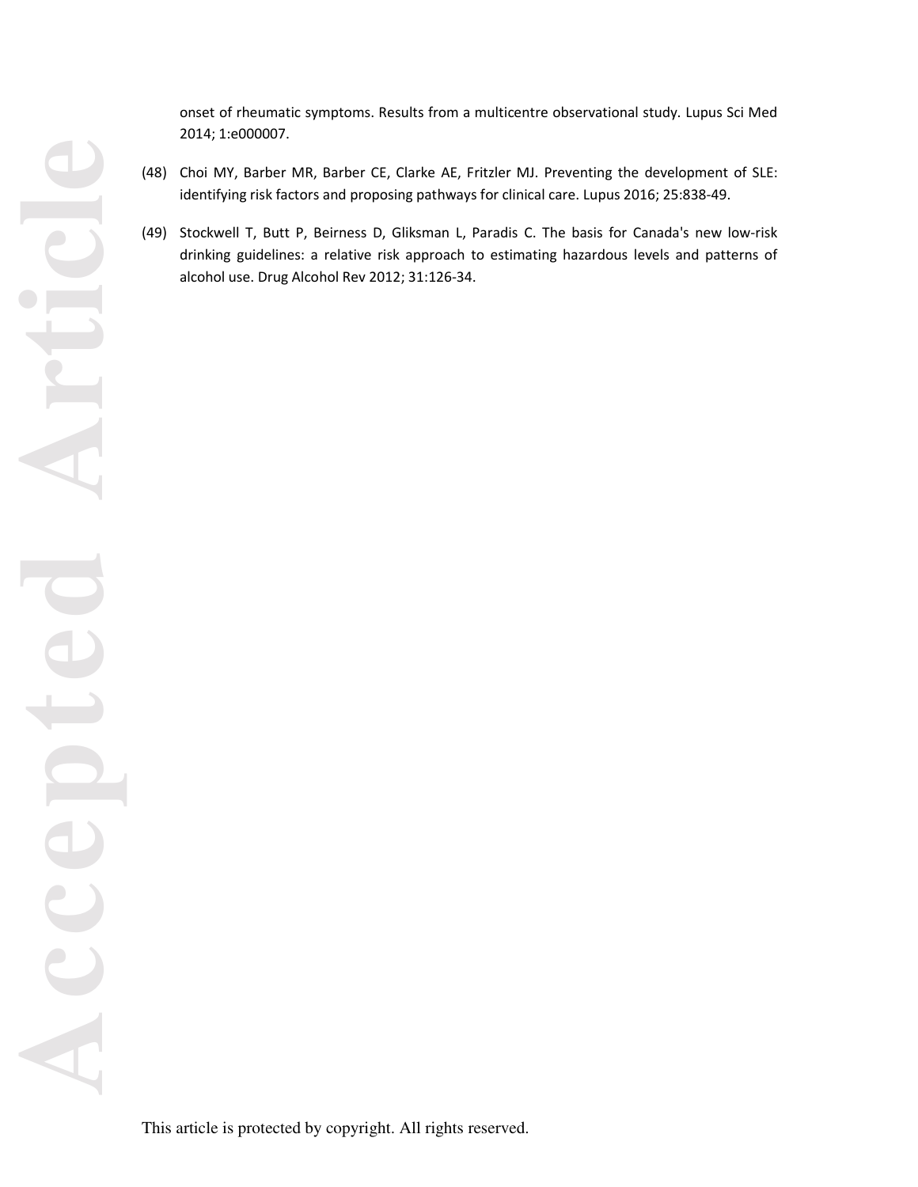onset of rheumatic symptoms. Results from a multicentre observational study. Lupus Sci Med 2014; 1:e000007.

- (48) Choi MY, Barber MR, Barber CE, Clarke AE, Fritzler MJ. Preventing the development of SLE: identifying risk factors and proposing pathways for clinical care. Lupus 2016; 25:838-49.
- (49) Stockwell T, Butt P, Beirness D, Gliksman L, Paradis C. The basis for Canada's new low-risk drinking guidelines: a relative risk approach to estimating hazardous levels and patterns of alcohol use. Drug Alcohol Rev 2012; 31:126-34.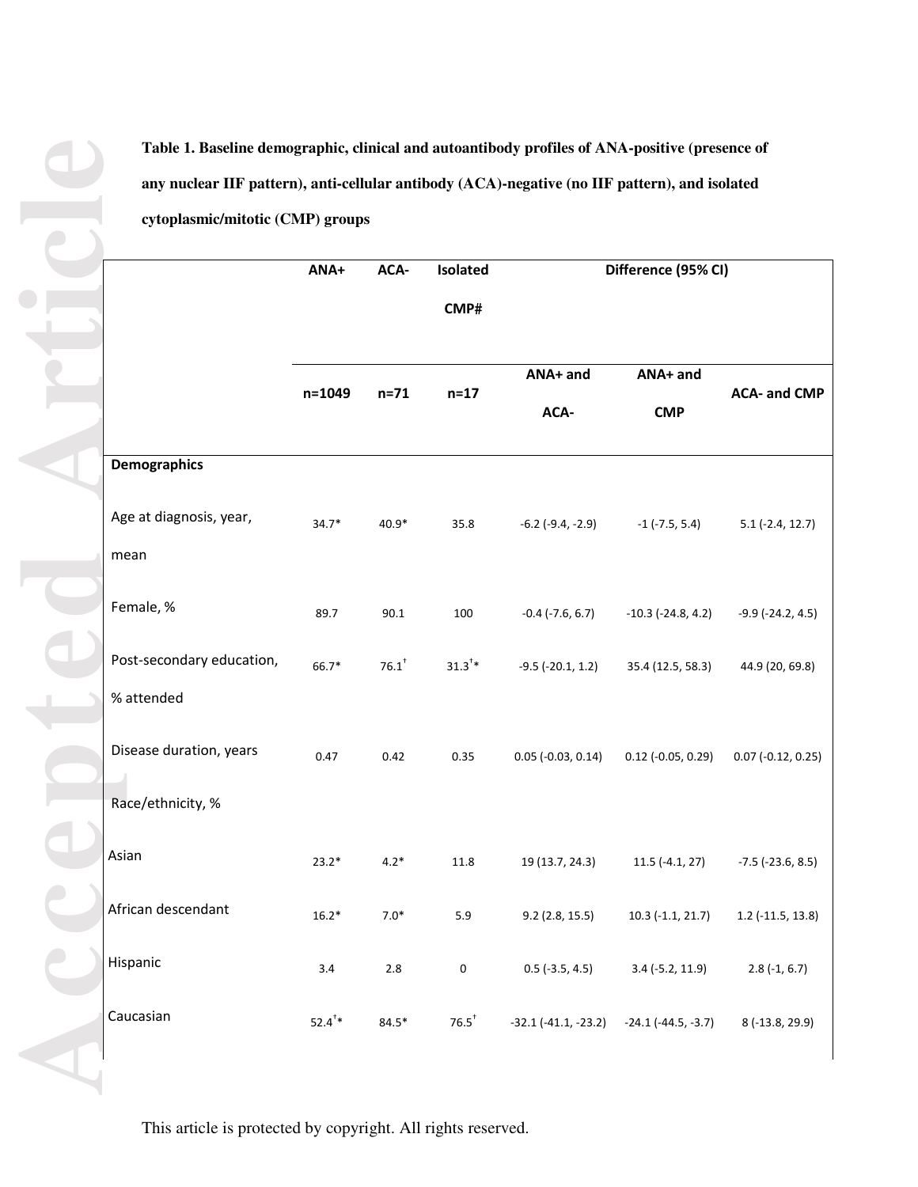**Table 1. Baseline demographic, clinical and autoantibody profiles of ANA-positive (presence of any nuclear IIF pattern), anti-cellular antibody (ACA)-negative (no IIF pattern), and isolated cytoplasmic/mitotic (CMP) groups** 

|                           | ANA+               | ACA-                | Isolated            | Difference (95% CI)        |                           |                            |
|---------------------------|--------------------|---------------------|---------------------|----------------------------|---------------------------|----------------------------|
|                           |                    |                     | CMP#                |                            |                           |                            |
|                           | $n = 1049$         | $n=71$              | $n=17$              | ANA+ and<br>ACA-           | ANA+ and<br><b>CMP</b>    | <b>ACA- and CMP</b>        |
| <b>Demographics</b>       |                    |                     |                     |                            |                           |                            |
| Age at diagnosis, year,   | $34.7*$            | 40.9*               | 35.8                | $-6.2$ ( $-9.4$ , $-2.9$ ) | $-1$ (-7.5, 5.4)          | $5.1(-2.4, 12.7)$          |
| mean                      |                    |                     |                     |                            |                           |                            |
| Female, %                 | 89.7               | 90.1                | 100                 | $-0.4$ ( $-7.6$ , 6.7)     | $-10.3$ ( $-24.8$ , 4.2)  | $-9.9$ ( $-24.2$ , 4.5)    |
| Post-secondary education, | 66.7*              | $76.1$ <sup>+</sup> | $31.3^{\dagger} *$  | $-9.5$ ( $-20.1$ , 1.2)    | 35.4 (12.5, 58.3)         | 44.9 (20, 69.8)            |
| % attended                |                    |                     |                     |                            |                           |                            |
| Disease duration, years   | 0.47               | 0.42                | 0.35                | $0.05$ (-0.03, 0.14)       | $0.12$ (-0.05, 0.29)      | $0.07$ (-0.12, 0.25)       |
| Race/ethnicity, %         |                    |                     |                     |                            |                           |                            |
| Asian                     | $23.2*$            | $4.2*$              | 11.8                | 19 (13.7, 24.3)            | $11.5$ (-4.1, 27)         | $-7.5$ ( $-23.6$ , $8.5$ ) |
| African descendant        | $16.2*$            | $7.0*$              | 5.9                 | $9.2$ (2.8, 15.5)          | $10.3$ (-1.1, 21.7)       | $1.2$ (-11.5, 13.8)        |
| Hispanic                  | 3.4                | 2.8                 | 0                   | $0.5$ (-3.5, 4.5)          | $3.4$ (-5.2, 11.9)        | $2.8(-1, 6.7)$             |
| Caucasian                 | $52.4^{\dagger} *$ | $84.5*$             | $76.5$ <sup>†</sup> | $-32.1$ $(-41.1, -23.2)$   | $-24.1$ ( $-44.5, -3.7$ ) | 8 (-13.8, 29.9)            |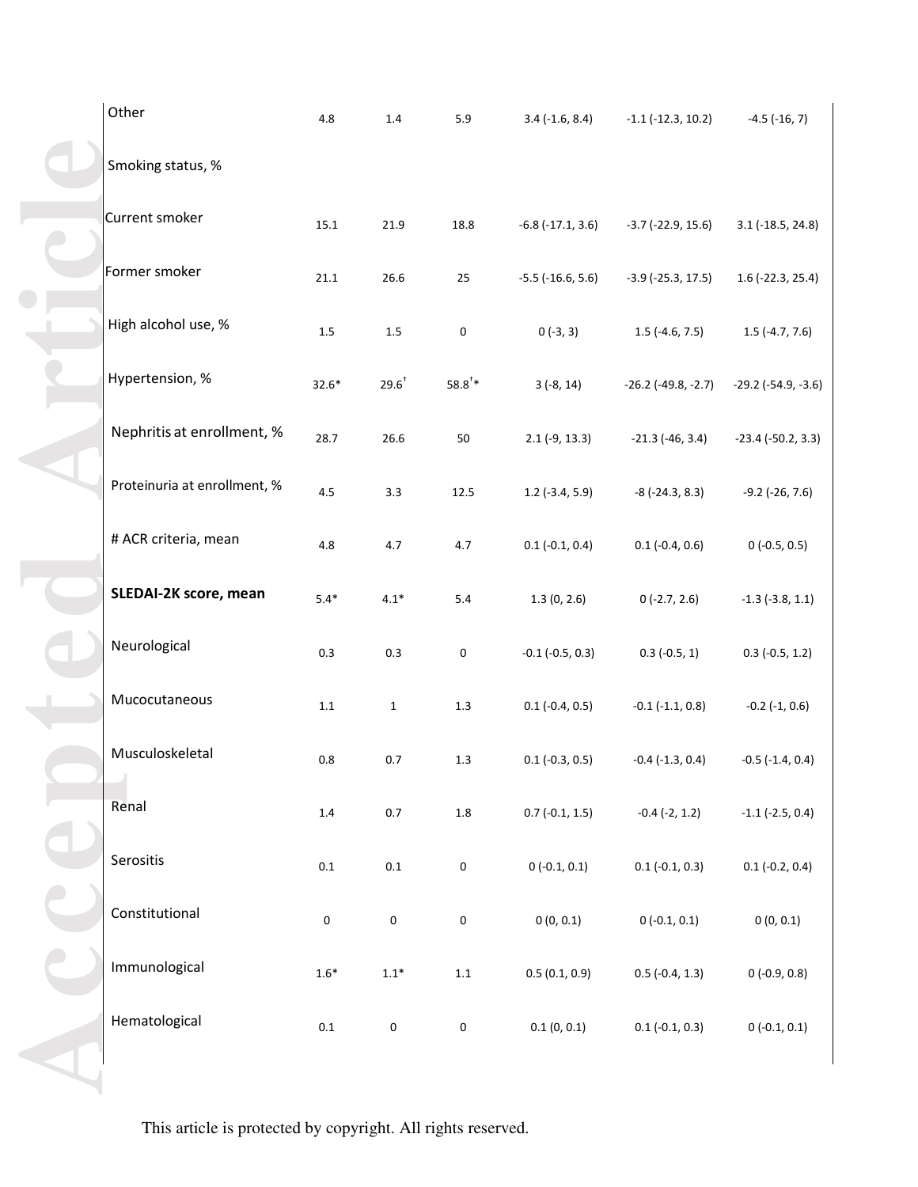| Other                        | 4.8       | 1.4          | 5.9                | $3.4(-1.6, 8.4)$           | $-1.1$ ( $-12.3$ , $10.2$ )  | $-4.5$ ( $-16, 7$ )          |
|------------------------------|-----------|--------------|--------------------|----------------------------|------------------------------|------------------------------|
| Smoking status, %            |           |              |                    |                            |                              |                              |
| Current smoker               | $15.1\,$  | 21.9         | 18.8               | $-6.8$ $(-17.1, 3.6)$      | $-3.7$ ( $-22.9$ , 15.6)     | $3.1$ (-18.5, 24.8)          |
| Former smoker                | 21.1      | 26.6         | 25                 | $-5.5$ ( $-16.6$ , $5.6$ ) | $-3.9$ ( $-25.3$ , 17.5)     | $1.6$ (-22.3, 25.4)          |
| High alcohol use, %          | $1.5\,$   | $1.5\,$      | $\pmb{0}$          | $0(-3, 3)$                 | $1.5$ (-4.6, 7.5)            | $1.5$ (-4.7, 7.6)            |
| Hypertension, %              | $32.6*$   | $29.6^{+}$   | $58.8^{\dagger} *$ | $3(-8, 14)$                | $-26.2$ ( $-49.8$ , $-2.7$ ) | $-29.2$ ( $-54.9$ , $-3.6$ ) |
| Nephritis at enrollment, %   | 28.7      | 26.6         | 50                 | $2.1(-9, 13.3)$            | $-21.3$ (-46, 3.4)           | $-23.4$ ( $-50.2$ , 3.3)     |
| Proteinuria at enrollment, % | 4.5       | 3.3          | 12.5               | $1.2$ (-3.4, 5.9)          | $-8$ ( $-24.3, 8.3$ )        | $-9.2$ ( $-26, 7.6$ )        |
| # ACR criteria, mean         | 4.8       | 4.7          | 4.7                | $0.1 (-0.1, 0.4)$          | $0.1 (-0.4, 0.6)$            | $0(-0.5, 0.5)$               |
| SLEDAI-2K score, mean        | $5.4*$    | $4.1*$       | $5.4\,$            | 1.3(0, 2.6)                | $0(-2.7, 2.6)$               | $-1.3$ ( $-3.8$ , 1.1)       |
| Neurological                 | $0.3\,$   | 0.3          | $\pmb{0}$          | $-0.1$ ( $-0.5$ , 0.3)     | $0.3$ (-0.5, 1)              | $0.3$ (-0.5, 1.2)            |
| Mucocutaneous                | $1.1\,$   | $\mathbf{1}$ | $1.3\,$            | $0.1$ (-0.4, 0.5)          | $-0.1$ $(-1.1, 0.8)$         | $-0.2$ $(-1, 0.6)$           |
| Musculoskeletal              | $0.8\,$   | $0.7\,$      | $1.3\,$            | $0.1 (-0.3, 0.5)$          | $-0.4$ $(-1.3, 0.4)$         | $-0.5$ ( $-1.4$ , 0.4)       |
| Renal                        | $1.4\,$   | $0.7\,$      | $1.8\,$            | $0.7(-0.1, 1.5)$           | $-0.4$ $(-2, 1.2)$           | $-1.1$ ( $-2.5$ , 0.4)       |
| Serositis                    | $0.1\,$   | $0.1\,$      | $\pmb{0}$          | $0(-0.1, 0.1)$             | $0.1 (-0.1, 0.3)$            | $0.1 (-0.2, 0.4)$            |
| Constitutional               | $\pmb{0}$ | $\mathbf 0$  | $\pmb{0}$          | 0(0, 0.1)                  | $0(-0.1, 0.1)$               | 0(0, 0.1)                    |
| Immunological                | $1.6*$    | $1.1*$       | $1.1\,$            | 0.5(0.1, 0.9)              | $0.5$ (-0.4, 1.3)            | $0(-0.9, 0.8)$               |
| Hematological                | $0.1\,$   | $\pmb{0}$    | $\pmb{0}$          | 0.1(0, 0.1)                | $0.1 (-0.1, 0.3)$            | $0(-0.1, 0.1)$               |
|                              |           |              |                    |                            |                              |                              |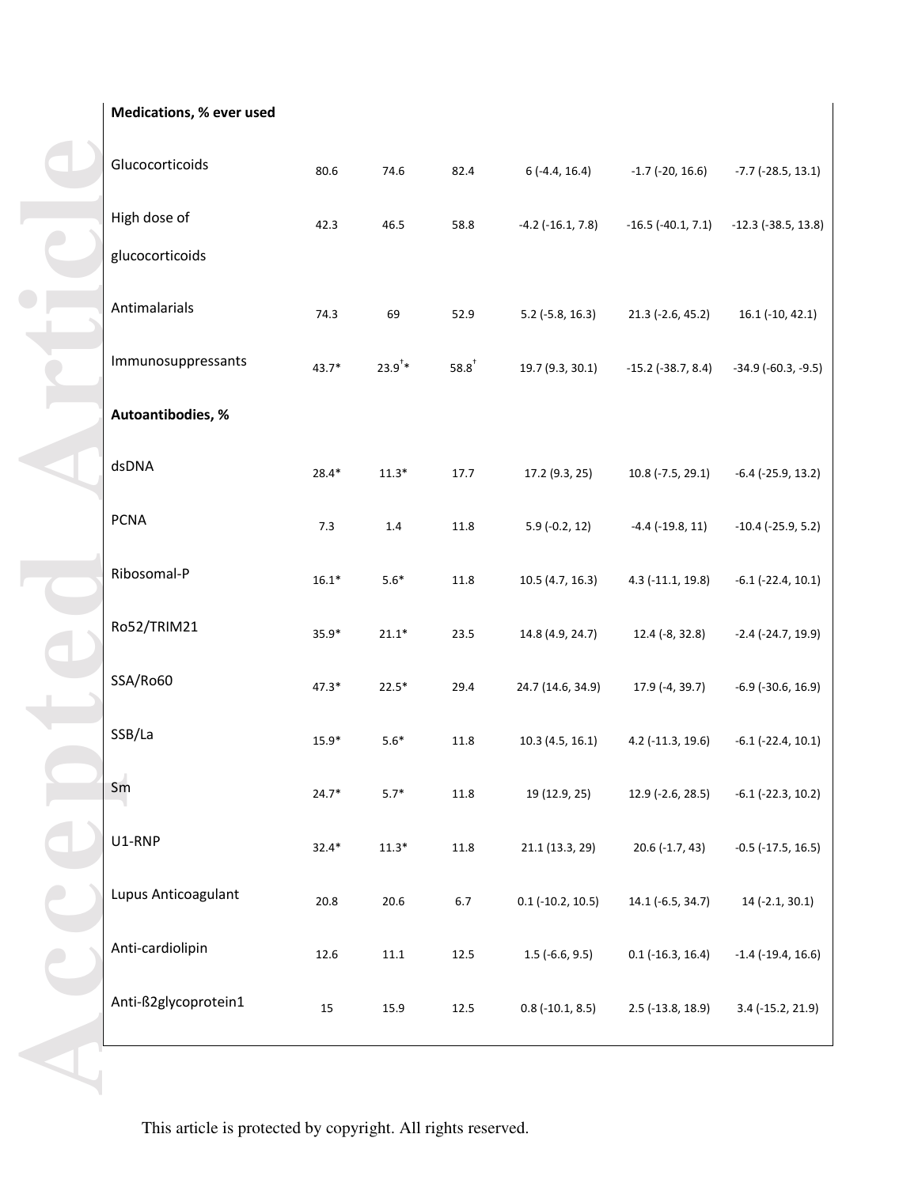**Medications, % ever used**

| Glucocorticoids                 | 80.6    | 74.6        | 82.4       | $6(-4.4, 16.4)$         | $-1.7$ (-20, 16.6)       | $-7.7$ ( $-28.5$ , 13.1)     |
|---------------------------------|---------|-------------|------------|-------------------------|--------------------------|------------------------------|
| High dose of<br>glucocorticoids | 42.3    | 46.5        | 58.8       | $-4.2$ ( $-16.1, 7.8$ ) | $-16.5$ ( $-40.1, 7.1$ ) | $-12.3$ ( $-38.5$ , 13.8)    |
| Antimalarials                   | 74.3    | 69          | 52.9       | $5.2$ (-5.8, 16.3)      | $21.3$ (-2.6, 45.2)      | $16.1$ (-10, 42.1)           |
| Immunosuppressants              | $43.7*$ | $23.9^{4*}$ | $58.8^{+}$ | 19.7 (9.3, 30.1)        | $-15.2$ ( $-38.7, 8.4$ ) | $-34.9$ ( $-60.3$ , $-9.5$ ) |
| Autoantibodies, %               |         |             |            |                         |                          |                              |
| dsDNA                           | $28.4*$ | $11.3*$     | 17.7       | 17.2 (9.3, 25)          | $10.8$ (-7.5, 29.1)      | $-6.4$ ( $-25.9$ , 13.2)     |
| <b>PCNA</b>                     | $7.3$   | $1.4\,$     | 11.8       | $5.9(-0.2, 12)$         | $-4.4$ $(-19.8, 11)$     | $-10.4$ ( $-25.9$ , 5.2)     |
| Ribosomal-P                     | $16.1*$ | $5.6*$      | 11.8       | 10.5(4.7, 16.3)         | 4.3 (-11.1, 19.8)        | $-6.1$ $(-22.4, 10.1)$       |
| Ro52/TRIM21                     | $35.9*$ | $21.1*$     | 23.5       | 14.8 (4.9, 24.7)        | 12.4 (-8, 32.8)          | $-2.4$ ( $-24.7$ , 19.9)     |
| SSA/Ro60                        | $47.3*$ | $22.5*$     | 29.4       | 24.7 (14.6, 34.9)       | 17.9 (-4, 39.7)          | $-6.9$ ( $-30.6$ , 16.9)     |
| SSB/La                          | $15.9*$ | $5.6*$      | 11.8       | 10.3(4.5, 16.1)         | 4.2 (-11.3, 19.6)        | $-6.1$ $(-22.4, 10.1)$       |
| Sm                              | $24.7*$ | $5.7*$      | 11.8       | 19 (12.9, 25)           | 12.9 (-2.6, 28.5)        | $-6.1$ ( $-22.3$ , 10.2)     |
| U1-RNP                          | $32.4*$ | $11.3*$     | 11.8       | 21.1 (13.3, 29)         | $20.6$ (-1.7, 43)        | $-0.5$ ( $-17.5$ , 16.5)     |
| Lupus Anticoagulant             | 20.8    | 20.6        | $6.7\,$    | $0.1$ (-10.2, 10.5)     | 14.1 (-6.5, 34.7)        | 14 (-2.1, 30.1)              |
| Anti-cardiolipin                | 12.6    | $11.1\,$    | $12.5\,$   | $1.5$ (-6.6, 9.5)       | $0.1$ (-16.3, 16.4)      | $-1.4$ ( $-19.4$ , $16.6$ )  |
| Anti-ß2glycoprotein1            | 15      | 15.9        | 12.5       | $0.8$ (-10.1, 8.5)      | 2.5 (-13.8, 18.9)        | 3.4 (-15.2, 21.9)            |
|                                 |         |             |            |                         |                          |                              |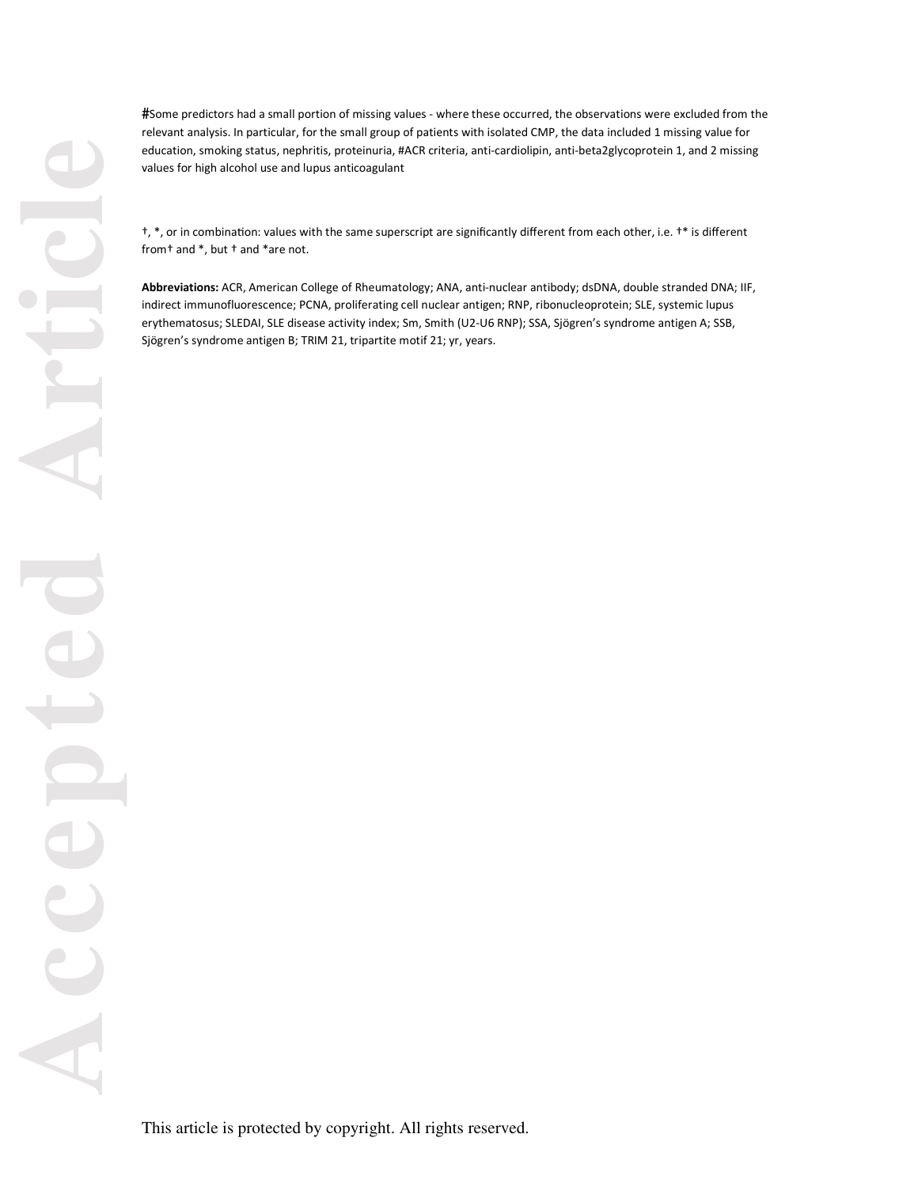#Some predictors had a small portion of missing values - where these occurred, the observations were excluded from the relevant analysis. In particular, for the small group of patients with isolated CMP, the data included 1 missing value for education, smoking status, nephritis, proteinuria, #ACR criteria, anti-cardiolipin, anti-beta2glycoprotein 1, and 2 missing values for high alcohol use and lupus anticoagulant

†, \*, or in combinaƟon: values with the same superscript are significantly different from each other, i.e. †\* is different from† and \*, but † and \*are not.

**Abbreviations:** ACR, American College of Rheumatology; ANA, anti-nuclear antibody; dsDNA, double stranded DNA; IIF, indirect immunofluorescence; PCNA, proliferating cell nuclear antigen; RNP, ribonucleoprotein; SLE, systemic lupus erythematosus; SLEDAI, SLE disease activity index; Sm, Smith (U2-U6 RNP); SSA, Sjögren's syndrome antigen A; SSB, Sjögren's syndrome antigen B; TRIM 21, tripartite motif 21; yr, years.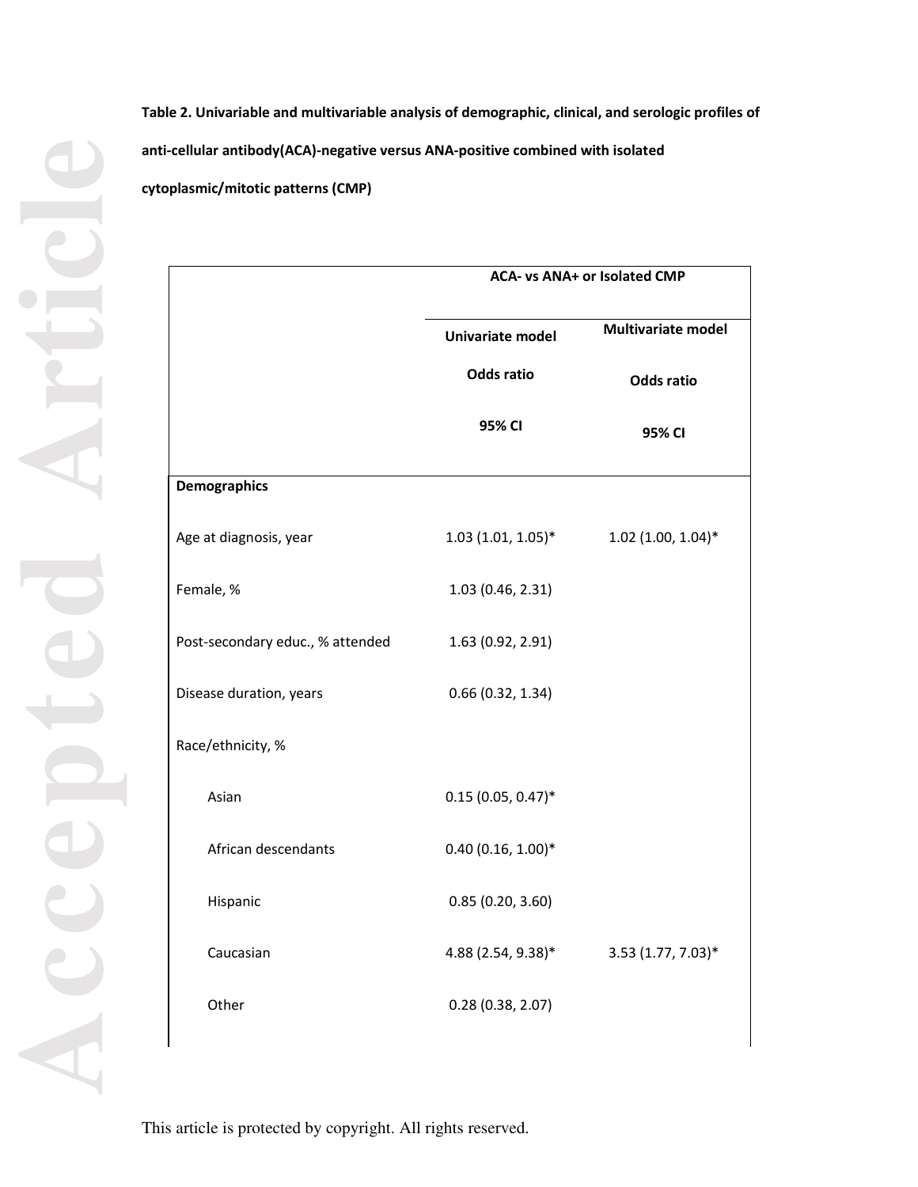**Accepted Article**

**Table 2. Univariable and multivariable analysis of demographic, clinical, and serologic profiles of anti-cellular antibody(ACA)-negative versus ANA-positive combined with isolated cytoplasmic/mitotic patterns (CMP)** 

|                                  | ACA- vs ANA+ or Isolated CMP |                           |  |  |
|----------------------------------|------------------------------|---------------------------|--|--|
|                                  | Univariate model             | <b>Multivariate model</b> |  |  |
|                                  | <b>Odds ratio</b>            | <b>Odds ratio</b>         |  |  |
|                                  | 95% CI                       | 95% CI                    |  |  |
| <b>Demographics</b>              |                              |                           |  |  |
| Age at diagnosis, year           | $1.03(1.01, 1.05)^*$         | $1.02$ (1.00, 1.04)*      |  |  |
| Female, %                        | 1.03 (0.46, 2.31)            |                           |  |  |
| Post-secondary educ., % attended | 1.63 (0.92, 2.91)            |                           |  |  |
| Disease duration, years          | 0.66(0.32, 1.34)             |                           |  |  |
| Race/ethnicity, %                |                              |                           |  |  |
| Asian                            | $0.15(0.05, 0.47)^*$         |                           |  |  |
| African descendants              | $0.40(0.16, 1.00)*$          |                           |  |  |
| Hispanic                         | 0.85(0.20, 3.60)             |                           |  |  |
| Caucasian                        | 4.88 (2.54, 9.38)*           | 3.53 (1.77, 7.03)*        |  |  |
| Other                            | 0.28(0.38, 2.07)             |                           |  |  |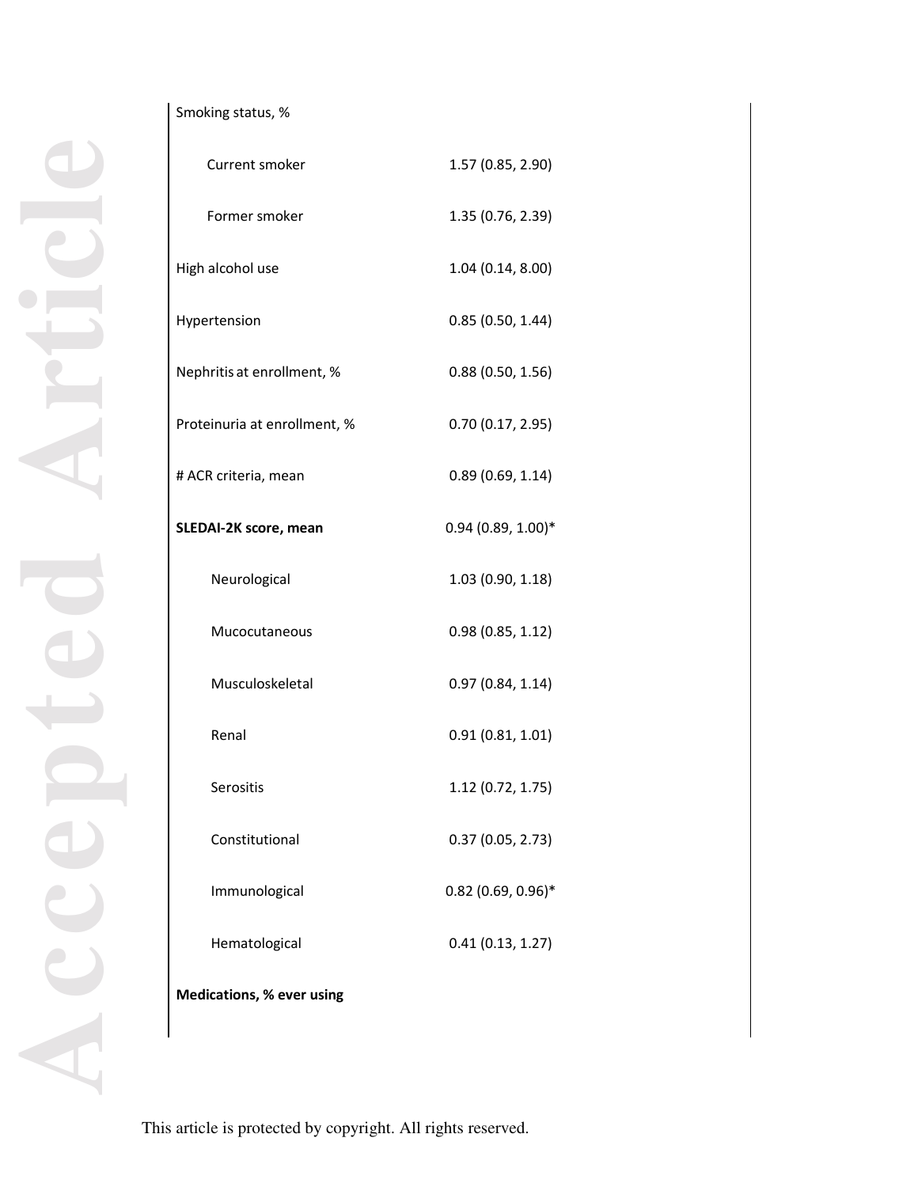# Smoking status, %

| Current smoker                   | 1.57 (0.85, 2.90)    |
|----------------------------------|----------------------|
| Former smoker                    | 1.35 (0.76, 2.39)    |
| High alcohol use                 | 1.04 (0.14, 8.00)    |
| Hypertension                     | 0.85(0.50, 1.44)     |
| Nephritis at enrollment, %       | 0.88(0.50, 1.56)     |
| Proteinuria at enrollment, %     | 0.70(0.17, 2.95)     |
| # ACR criteria, mean             | 0.89(0.69, 1.14)     |
| SLEDAI-2K score, mean            | $0.94(0.89, 1.00)*$  |
| Neurological                     | 1.03 (0.90, 1.18)    |
| Mucocutaneous                    | 0.98(0.85, 1.12)     |
| Musculoskeletal                  | 0.97(0.84, 1.14)     |
| Renal                            | 0.91(0.81, 1.01)     |
| Serositis                        | 1.12 (0.72, 1.75)    |
| Constitutional                   | 0.37(0.05, 2.73)     |
| Immunological                    | $0.82$ (0.69, 0.96)* |
| Hematological                    | 0.41(0.13, 1.27)     |
| <b>Medications, % ever using</b> |                      |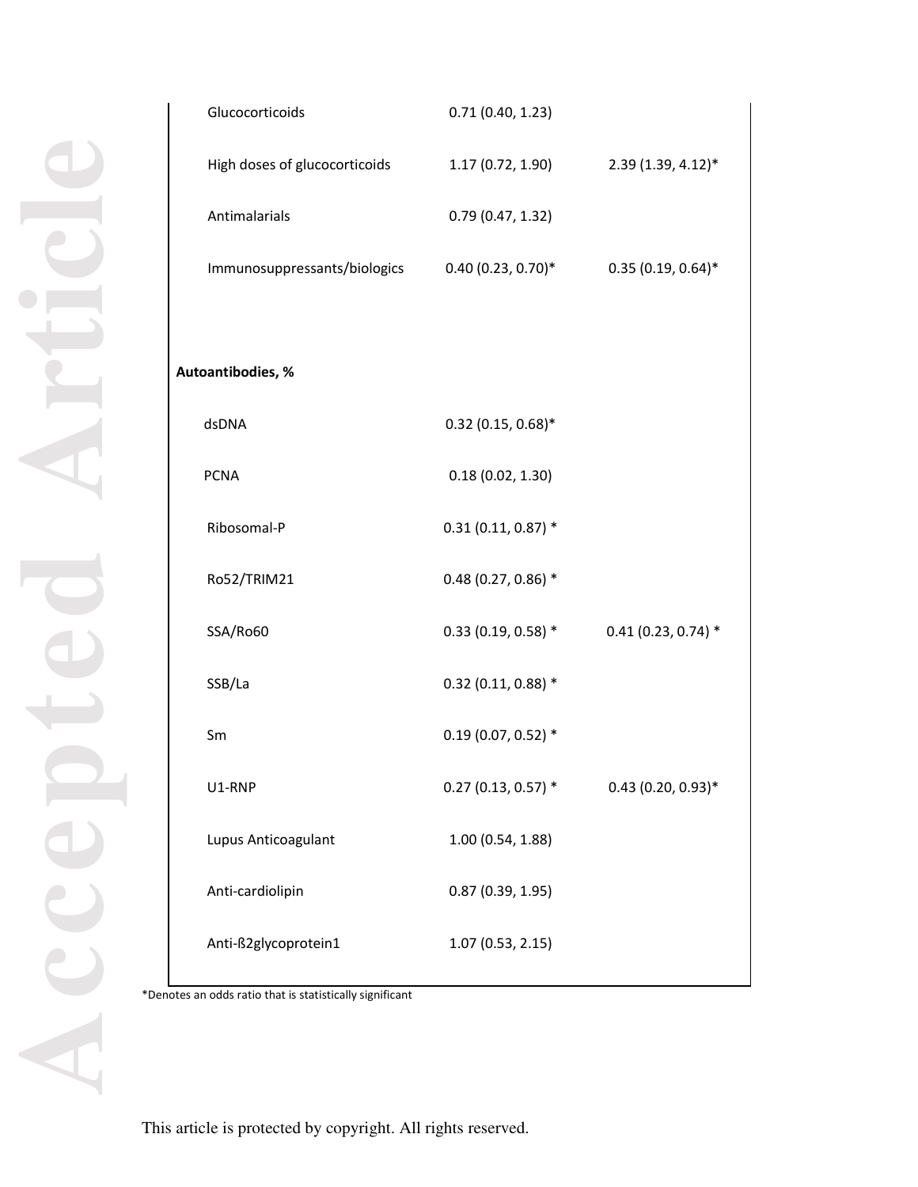| Glucocorticoids               | 0.71(0.40, 1.23)      |                       |
|-------------------------------|-----------------------|-----------------------|
| High doses of glucocorticoids | 1.17 (0.72, 1.90)     | 2.39 (1.39, 4.12)*    |
| Antimalarials                 | 0.79(0.47, 1.32)      |                       |
| Immunosuppressants/biologics  | $0.40(0.23, 0.70)$ *  | $0.35(0.19, 0.64)$ *  |
|                               |                       |                       |
| Autoantibodies, %             |                       |                       |
| dsDNA                         | $0.32$ (0.15, 0.68)*  |                       |
| <b>PCNA</b>                   | 0.18(0.02, 1.30)      |                       |
| Ribosomal-P                   | $0.31(0.11, 0.87)$ *  |                       |
| Ro52/TRIM21                   | $0.48(0.27, 0.86)$ *  |                       |
| SSA/Ro60                      | $0.33(0.19, 0.58)$ *  | $0.41$ (0.23, 0.74) * |
| SSB/La                        | $0.32$ (0.11, 0.88) * |                       |
| Sm                            | $0.19(0.07, 0.52)$ *  |                       |
| U1-RNP                        | $0.27$ (0.13, 0.57) * | $0.43$ (0.20, 0.93)*  |
| Lupus Anticoagulant           | 1.00 (0.54, 1.88)     |                       |
| Anti-cardiolipin              | 0.87(0.39, 1.95)      |                       |
| Anti-ß2glycoprotein1          | 1.07(0.53, 2.15)      |                       |
|                               |                       |                       |

\*Denotes an odds ratio that is statistically significant